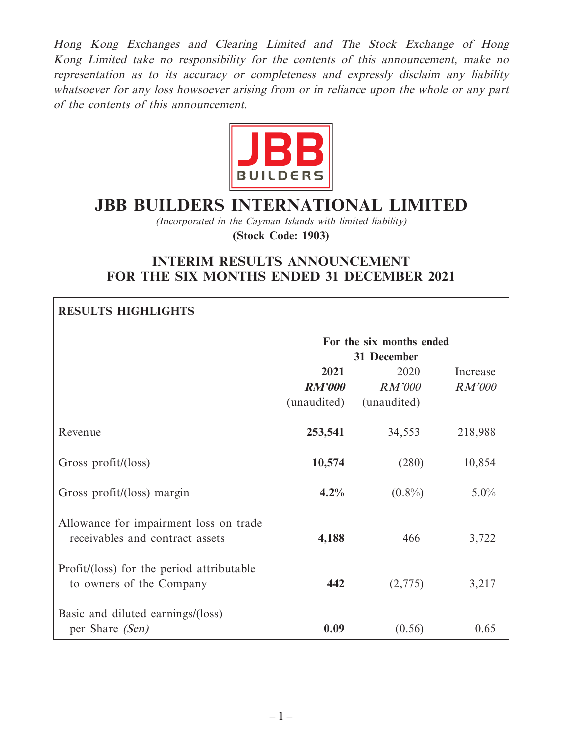Hong Kong Exchanges and Clearing Limited and The Stock Exchange of Hong Kong Limited take no responsibility for the contents of this announcement, make no representation as to its accuracy or completeness and expressly disclaim any liability whatsoever for any loss howsoever arising from or in reliance upon the whole or any part of the contents of this announcement.



# **JBB BUILDERS INTERNATIONAL LIMITED**

(Incorporated in the Cayman Islands with limited liability)

**(Stock Code: 1903)**

# **INTERIM RESULTS ANNOUNCEMENT FOR THE SIX MONTHS ENDED 31 DECEMBER 2021**

# **RESULTS HIGHLIGHTS**

|                                                                           | For the six months ended<br>31 December |                                      |                           |
|---------------------------------------------------------------------------|-----------------------------------------|--------------------------------------|---------------------------|
|                                                                           | 2021<br><b>RM'000</b><br>(unaudited)    | 2020<br><i>RM'000</i><br>(unaudited) | Increase<br><b>RM'000</b> |
| Revenue                                                                   | 253,541                                 | 34,553                               | 218,988                   |
| Gross profit/(loss)                                                       | 10,574                                  | (280)                                | 10,854                    |
| Gross profit/(loss) margin                                                | 4.2%                                    | $(0.8\%)$                            | $5.0\%$                   |
| Allowance for impairment loss on trade<br>receivables and contract assets | 4,188                                   | 466                                  | 3,722                     |
| Profit/(loss) for the period attributable<br>to owners of the Company     | 442                                     | (2,775)                              | 3,217                     |
| Basic and diluted earnings/(loss)<br>per Share (Sen)                      | 0.09                                    | (0.56)                               | 0.65                      |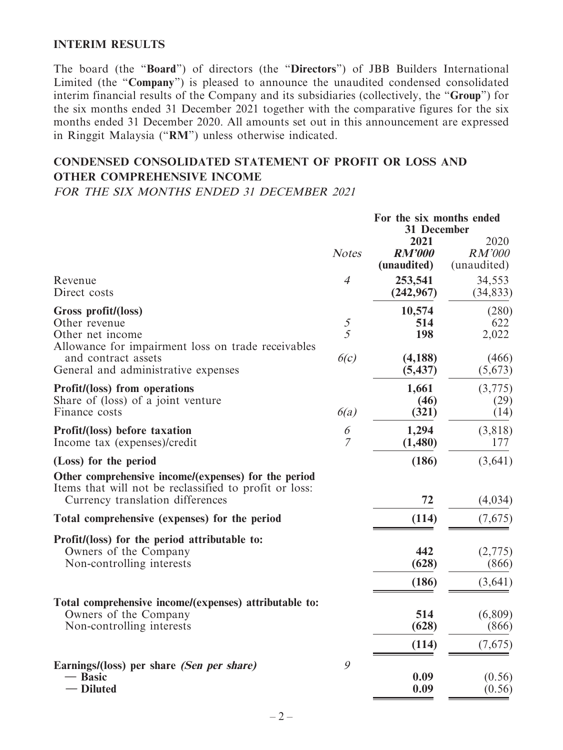### **INTERIM RESULTS**

The board (the "**Board**") of directors (the "**Directors**") of JBB Builders International Limited (the "**Company**") is pleased to announce the unaudited condensed consolidated interim financial results of the Company and its subsidiaries (collectively, the "**Group**") for the six months ended 31 December 2021 together with the comparative figures for the six months ended 31 December 2020. All amounts set out in this announcement are expressed in Ringgit Malaysia ("**RM**") unless otherwise indicated.

# **CONDENSED CONSOLIDATED STATEMENT OF PROFIT OR LOSS AND OTHER COMPREHENSIVE INCOME**

FOR THE SIX MONTHS ENDED 31 DECEMBER 2021

|                                                                                                                                                    | For the six months ended<br>31 December |                                      |                                      |
|----------------------------------------------------------------------------------------------------------------------------------------------------|-----------------------------------------|--------------------------------------|--------------------------------------|
|                                                                                                                                                    | <b>Notes</b>                            | 2021<br><b>RM'000</b><br>(unaudited) | 2020<br><b>RM'000</b><br>(unaudited) |
| Revenue<br>Direct costs                                                                                                                            | $\overline{4}$                          | 253,541<br>(242, 967)                | 34,553<br>(34, 833)                  |
| Gross profit/(loss)<br>Other revenue<br>Other net income<br>Allowance for impairment loss on trade receivables                                     | $rac{5}{5}$                             | 10,574<br>514<br>198                 | (280)<br>622<br>2,022                |
| and contract assets<br>General and administrative expenses                                                                                         | 6(c)                                    | (4,188)<br>(5, 437)                  | (466)<br>(5,673)                     |
| Profit/(loss) from operations<br>Share of (loss) of a joint venture<br>Finance costs                                                               | 6(a)                                    | 1,661<br>(46)<br>(321)               | (3,775)<br>(29)<br>(14)              |
| Profit/(loss) before taxation<br>Income tax (expenses)/credit                                                                                      | 6<br>7                                  | 1,294<br>(1,480)                     | (3,818)<br>177                       |
| (Loss) for the period                                                                                                                              |                                         | (186)                                | (3,641)                              |
| Other comprehensive income/(expenses) for the period<br>Items that will not be reclassified to profit or loss:<br>Currency translation differences |                                         | 72                                   | (4,034)                              |
| Total comprehensive (expenses) for the period                                                                                                      |                                         | (114)                                | (7,675)                              |
| Profit/(loss) for the period attributable to:<br>Owners of the Company<br>Non-controlling interests                                                |                                         | 442<br>(628)<br>(186)                | (2,775)<br>(866)<br>(3,641)          |
| Total comprehensive income/(expenses) attributable to:<br>Owners of the Company<br>Non-controlling interests                                       |                                         | 514<br>(628)                         | (6,809)<br>(866)                     |
|                                                                                                                                                    |                                         | (114)                                | (7,675)                              |
| Earnings/(loss) per share <i>(Sen per share)</i><br>- Basic<br>- Diluted                                                                           | 9                                       | 0.09<br>0.09                         | (0.56)<br>(0.56)                     |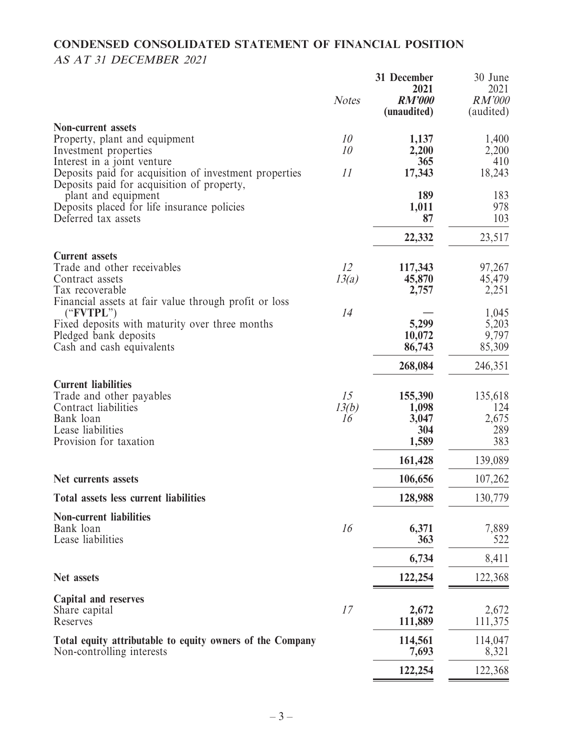# **CONDENSED CONSOLIDATED STATEMENT OF FINANCIAL POSITION** AS AT 31 DECEMBER 2021

|                                                                                                                                                                            | <b>Notes</b>      | 31 December<br>2021<br><b>RM'000</b><br>(unaudited) | 30 June<br>2021<br><b>RM'000</b><br>(audited) |
|----------------------------------------------------------------------------------------------------------------------------------------------------------------------------|-------------------|-----------------------------------------------------|-----------------------------------------------|
| <b>Non-current assets</b><br>Property, plant and equipment<br>Investment properties<br>Interest in a joint venture                                                         | 10<br>10          | 1,137<br>2,200<br>365                               | 1,400<br>2,200<br>410                         |
| Deposits paid for acquisition of investment properties<br>Deposits paid for acquisition of property,                                                                       | 11                | 17,343                                              | 18,243                                        |
| plant and equipment<br>Deposits placed for life insurance policies<br>Deferred tax assets                                                                                  |                   | 189<br>1,011<br>87                                  | 183<br>978<br>103                             |
|                                                                                                                                                                            |                   | 22,332                                              | 23,517                                        |
| <b>Current assets</b><br>Trade and other receivables<br>Contract assets<br>Tax recoverable                                                                                 | 12<br>13(a)       | 117,343<br>45,870<br>2,757                          | 97,267<br>45,479<br>2,251                     |
| Financial assets at fair value through profit or loss<br>("FVTPL")<br>Fixed deposits with maturity over three months<br>Pledged bank deposits<br>Cash and cash equivalents | 14                | 5,299<br>10,072<br>86,743                           | 1,045<br>5,203<br>9,797<br>85,309             |
|                                                                                                                                                                            |                   | 268,084                                             | 246,351                                       |
| <b>Current liabilities</b><br>Trade and other payables<br>Contract liabilities<br>Bank loan<br>Lease liabilities<br>Provision for taxation                                 | 15<br>13(b)<br>16 | 155,390<br>1,098<br>3,047<br>304<br>1,589           | 135,618<br>124<br>2,675<br>289<br>383         |
|                                                                                                                                                                            |                   | 161,428                                             | 139,089                                       |
| Net currents assets                                                                                                                                                        |                   | 106,656                                             | 107,262                                       |
| <b>Total assets less current liabilities</b>                                                                                                                               |                   | 128,988                                             | 130,779                                       |
| <b>Non-current liabilities</b><br>Bank loan<br>Lease liabilities                                                                                                           | 16                | 6,371<br>363                                        | 7,889<br>522                                  |
|                                                                                                                                                                            |                   | 6,734                                               | 8,411                                         |
| <b>Net assets</b>                                                                                                                                                          |                   | 122,254                                             | 122,368                                       |
| Capital and reserves<br>Share capital<br>Reserves                                                                                                                          | 17                | 2,672<br>111,889                                    | 2,672<br>111,375                              |
| Total equity attributable to equity owners of the Company<br>Non-controlling interests                                                                                     |                   | 114,561<br>7,693                                    | 114,047<br>8,321                              |
|                                                                                                                                                                            |                   | 122,254                                             | 122,368                                       |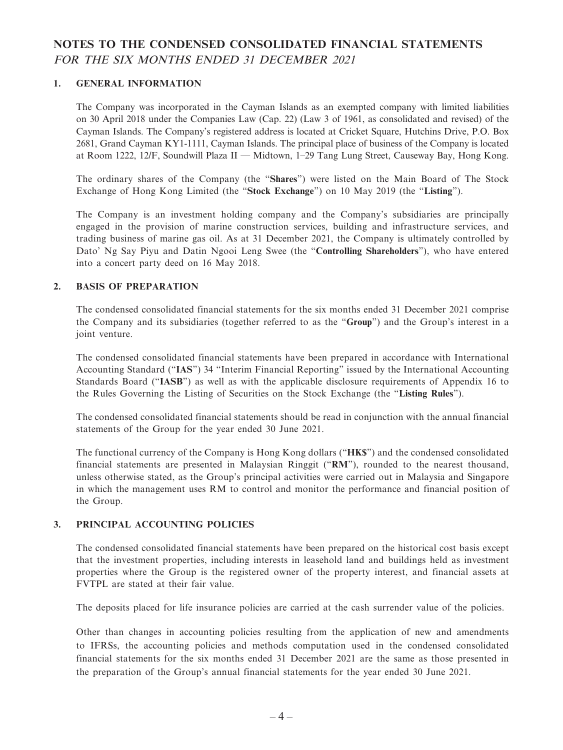# **NOTES TO THE CONDENSED CONSOLIDATED FINANCIAL STATEMENTS** FOR THE SIX MONTHS ENDED 31 DECEMBER 2021

### **1. GENERAL INFORMATION**

The Company was incorporated in the Cayman Islands as an exempted company with limited liabilities on 30 April 2018 under the Companies Law (Cap. 22) (Law 3 of 1961, as consolidated and revised) of the Cayman Islands. The Company's registered address is located at Cricket Square, Hutchins Drive, P.O. Box 2681, Grand Cayman KY1-1111, Cayman Islands. The principal place of business of the Company is located at Room 1222, 12/F, Soundwill Plaza II — Midtown, 1–29 Tang Lung Street, Causeway Bay, Hong Kong.

The ordinary shares of the Company (the "**Shares**") were listed on the Main Board of The Stock Exchange of Hong Kong Limited (the "**Stock Exchange**") on 10 May 2019 (the "**Listing**").

The Company is an investment holding company and the Company's subsidiaries are principally engaged in the provision of marine construction services, building and infrastructure services, and trading business of marine gas oil. As at 31 December 2021, the Company is ultimately controlled by Dato' Ng Say Piyu and Datin Ngooi Leng Swee (the "**Controlling Shareholders**"), who have entered into a concert party deed on 16 May 2018.

#### **2. BASIS OF PREPARATION**

The condensed consolidated financial statements for the six months ended 31 December 2021 comprise the Company and its subsidiaries (together referred to as the "**Group**") and the Group's interest in a joint venture.

The condensed consolidated financial statements have been prepared in accordance with International Accounting Standard ("**IAS**") 34 "Interim Financial Reporting" issued by the International Accounting Standards Board ("**IASB**") as well as with the applicable disclosure requirements of Appendix 16 to the Rules Governing the Listing of Securities on the Stock Exchange (the "**Listing Rules**").

The condensed consolidated financial statements should be read in conjunction with the annual financial statements of the Group for the year ended 30 June 2021.

The functional currency of the Company is Hong Kong dollars ("**HK\$**") and the condensed consolidated financial statements are presented in Malaysian Ringgit ("**RM**"), rounded to the nearest thousand, unless otherwise stated, as the Group's principal activities were carried out in Malaysia and Singapore in which the management uses RM to control and monitor the performance and financial position of the Group.

#### **3. PRINCIPAL ACCOUNTING POLICIES**

The condensed consolidated financial statements have been prepared on the historical cost basis except that the investment properties, including interests in leasehold land and buildings held as investment properties where the Group is the registered owner of the property interest, and financial assets at FVTPL are stated at their fair value.

The deposits placed for life insurance policies are carried at the cash surrender value of the policies.

Other than changes in accounting policies resulting from the application of new and amendments to IFRSs, the accounting policies and methods computation used in the condensed consolidated financial statements for the six months ended 31 December 2021 are the same as those presented in the preparation of the Group's annual financial statements for the year ended 30 June 2021.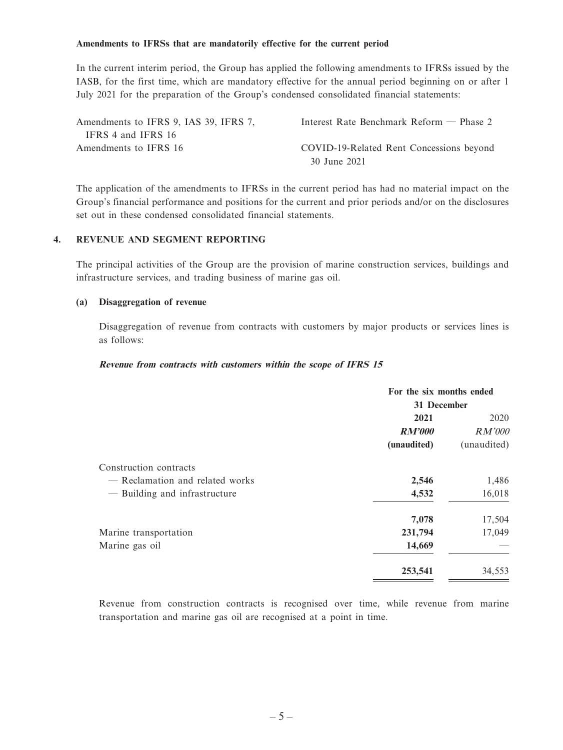#### **Amendments to IFRSs that are mandatorily effective for the current period**

In the current interim period, the Group has applied the following amendments to IFRSs issued by the IASB, for the first time, which are mandatory effective for the annual period beginning on or after 1 July 2021 for the preparation of the Group's condensed consolidated financial statements:

| Amendments to IFRS 9, IAS 39, IFRS 7, | Interest Rate Benchmark Reform $-$ Phase 2 |
|---------------------------------------|--------------------------------------------|
| IFRS 4 and IFRS 16                    |                                            |
| Amendments to IFRS 16                 | COVID-19-Related Rent Concessions beyond   |
|                                       | 30 June 2021                               |

The application of the amendments to IFRSs in the current period has had no material impact on the Group's financial performance and positions for the current and prior periods and/or on the disclosures set out in these condensed consolidated financial statements.

### **4. REVENUE AND SEGMENT REPORTING**

The principal activities of the Group are the provision of marine construction services, buildings and infrastructure services, and trading business of marine gas oil.

#### **(a) Disaggregation of revenue**

Disaggregation of revenue from contracts with customers by major products or services lines is as follows:

#### **Revenue from contracts with customers within the scope of IFRS 15**

|                                 | For the six months ended |               |  |
|---------------------------------|--------------------------|---------------|--|
|                                 | 31 December              |               |  |
|                                 | 2021                     | 2020          |  |
|                                 | <b>RM'000</b>            | <i>RM'000</i> |  |
|                                 | (unaudited)              | (unaudited)   |  |
| Construction contracts          |                          |               |  |
| - Reclamation and related works | 2,546                    | 1,486         |  |
| - Building and infrastructure   | 4,532                    | 16,018        |  |
|                                 | 7,078                    | 17,504        |  |
| Marine transportation           | 231,794                  | 17,049        |  |
| Marine gas oil                  | 14,669                   |               |  |
|                                 | 253,541                  | 34,553        |  |

Revenue from construction contracts is recognised over time, while revenue from marine transportation and marine gas oil are recognised at a point in time.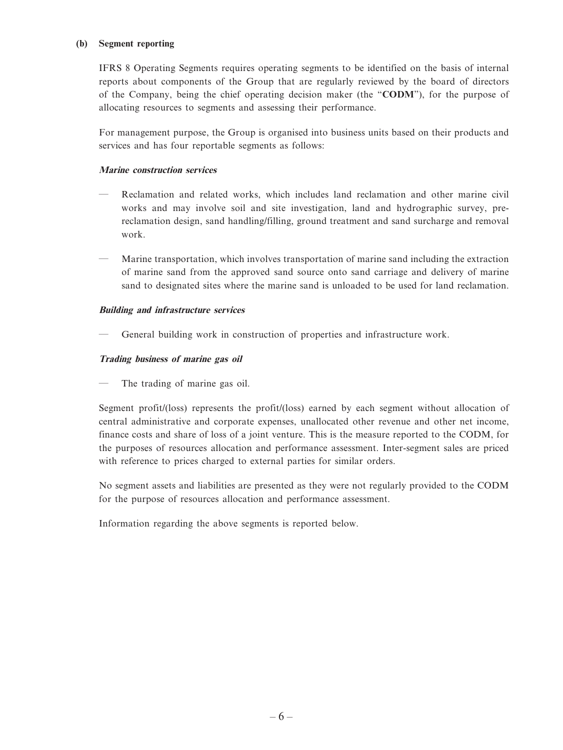#### **(b) Segment reporting**

IFRS 8 Operating Segments requires operating segments to be identified on the basis of internal reports about components of the Group that are regularly reviewed by the board of directors of the Company, being the chief operating decision maker (the "**CODM**"), for the purpose of allocating resources to segments and assessing their performance.

For management purpose, the Group is organised into business units based on their products and services and has four reportable segments as follows:

### **Marine construction services**

- Reclamation and related works, which includes land reclamation and other marine civil works and may involve soil and site investigation, land and hydrographic survey, prereclamation design, sand handling/filling, ground treatment and sand surcharge and removal work.
- Marine transportation, which involves transportation of marine sand including the extraction of marine sand from the approved sand source onto sand carriage and delivery of marine sand to designated sites where the marine sand is unloaded to be used for land reclamation.

#### **Building and infrastructure services**

— General building work in construction of properties and infrastructure work.

#### **Trading business of marine gas oil**

The trading of marine gas oil.

Segment profit/(loss) represents the profit/(loss) earned by each segment without allocation of central administrative and corporate expenses, unallocated other revenue and other net income, finance costs and share of loss of a joint venture. This is the measure reported to the CODM, for the purposes of resources allocation and performance assessment. Inter-segment sales are priced with reference to prices charged to external parties for similar orders.

No segment assets and liabilities are presented as they were not regularly provided to the CODM for the purpose of resources allocation and performance assessment.

Information regarding the above segments is reported below.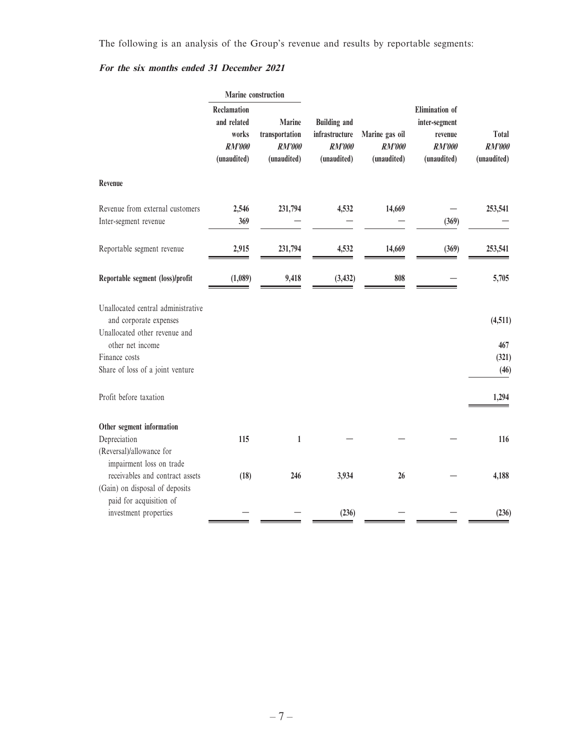The following is an analysis of the Group's revenue and results by reportable segments:

### **For the six months ended 31 December 2021**

|                                                                                                                                                                        | Marine construction                                                        |                                                          |                                                                       |                                                |                                                                     |                                       |
|------------------------------------------------------------------------------------------------------------------------------------------------------------------------|----------------------------------------------------------------------------|----------------------------------------------------------|-----------------------------------------------------------------------|------------------------------------------------|---------------------------------------------------------------------|---------------------------------------|
|                                                                                                                                                                        | <b>Reclamation</b><br>and related<br>works<br><b>RM'000</b><br>(unaudited) | <b>Marine</b><br>transportation<br>RM'000<br>(unaudited) | <b>Building and</b><br>infrastructure<br><b>RM'000</b><br>(unaudited) | Marine gas oil<br><b>RM'000</b><br>(unaudited) | Elimination of<br>inter-segment<br>revenue<br>RM'000<br>(unaudited) | Total<br><b>RM'000</b><br>(unaudited) |
| Revenue                                                                                                                                                                |                                                                            |                                                          |                                                                       |                                                |                                                                     |                                       |
| Revenue from external customers<br>Inter-segment revenue                                                                                                               | 2,546<br>369                                                               | 231,794                                                  | 4,532                                                                 | 14,669                                         | (369)                                                               | 253,541                               |
| Reportable segment revenue                                                                                                                                             | 2,915                                                                      | 231,794                                                  | 4,532                                                                 | 14,669                                         | (369)                                                               | 253,541                               |
| Reportable segment (loss)/profit                                                                                                                                       | (1,089)                                                                    | 9,418                                                    | (3, 432)                                                              | 808                                            |                                                                     | 5,705                                 |
| Unallocated central administrative<br>and corporate expenses<br>Unallocated other revenue and<br>other net income<br>Finance costs<br>Share of loss of a joint venture |                                                                            |                                                          |                                                                       |                                                |                                                                     | (4,511)<br>467<br>(321)<br>(46)       |
| Profit before taxation                                                                                                                                                 |                                                                            |                                                          |                                                                       |                                                |                                                                     | 1,294                                 |
| Other segment information<br>Depreciation<br>(Reversal)/allowance for                                                                                                  | 115                                                                        | $\mathbf{1}$                                             |                                                                       |                                                |                                                                     | 116                                   |
| impairment loss on trade<br>receivables and contract assets<br>(Gain) on disposal of deposits                                                                          | (18)                                                                       | 246                                                      | 3,934                                                                 | 26                                             |                                                                     | 4,188                                 |
| paid for acquisition of<br>investment properties                                                                                                                       |                                                                            |                                                          | (236)                                                                 |                                                |                                                                     | (236)                                 |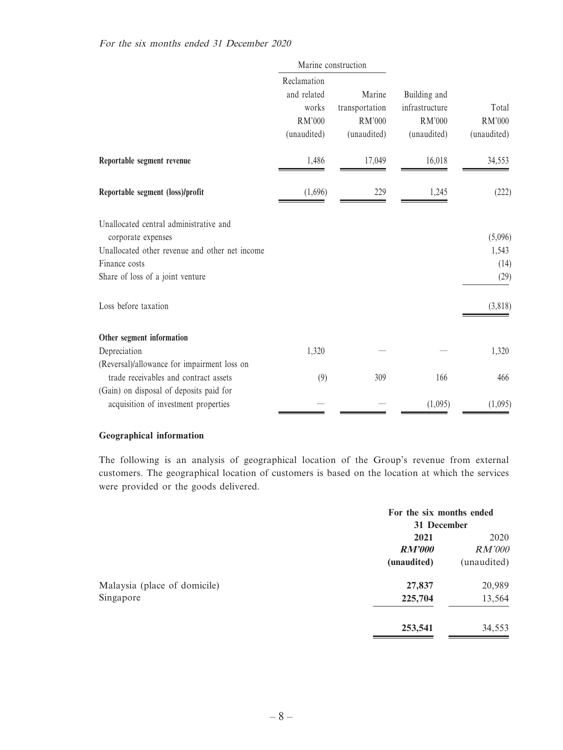|                                                              | Marine construction                                                 |                                                          |                                                                |                                |
|--------------------------------------------------------------|---------------------------------------------------------------------|----------------------------------------------------------|----------------------------------------------------------------|--------------------------------|
|                                                              | Reclamation<br>and related<br>works<br><b>RM'000</b><br>(unaudited) | Marine<br>transportation<br><b>RM'000</b><br>(unaudited) | Building and<br>infrastructure<br><b>RM'000</b><br>(unaudited) | Total<br>RM'000<br>(unaudited) |
| Reportable segment revenue                                   | 1,486                                                               | 17,049                                                   | 16,018                                                         | 34,553                         |
| Reportable segment (loss)/profit                             | (1,696)                                                             | 229                                                      | 1,245                                                          | (222)                          |
| Unallocated central administrative and<br>corporate expenses |                                                                     |                                                          |                                                                | (5,096)                        |
| Unallocated other revenue and other net income               |                                                                     |                                                          |                                                                | 1,543                          |
| Finance costs                                                |                                                                     |                                                          |                                                                | (14)                           |
| Share of loss of a joint venture                             |                                                                     |                                                          |                                                                | (29)                           |
| Loss before taxation                                         |                                                                     |                                                          |                                                                | (3,818)                        |
| Other segment information                                    |                                                                     |                                                          |                                                                |                                |
| Depreciation                                                 | 1,320                                                               |                                                          |                                                                | 1,320                          |
| (Reversal)/allowance for impairment loss on                  |                                                                     |                                                          |                                                                |                                |
| trade receivables and contract assets                        | (9)                                                                 | 309                                                      | 166                                                            | 466                            |
| (Gain) on disposal of deposits paid for                      |                                                                     |                                                          |                                                                |                                |
| acquisition of investment properties                         |                                                                     |                                                          | (1,095)                                                        | (1,095)                        |

#### **Geographical information**

The following is an analysis of geographical location of the Group's revenue from external customers. The geographical location of customers is based on the location at which the services were provided or the goods delivered.

|                              | For the six months ended<br>31 December |                              |
|------------------------------|-----------------------------------------|------------------------------|
|                              | 2021                                    | 2020                         |
|                              | <b>RM'000</b><br>(unaudited)            | <i>RM'000</i><br>(unaudited) |
| Malaysia (place of domicile) | 27,837                                  | 20,989                       |
| Singapore                    | 225,704                                 | 13,564                       |
|                              | 253,541                                 | 34,553                       |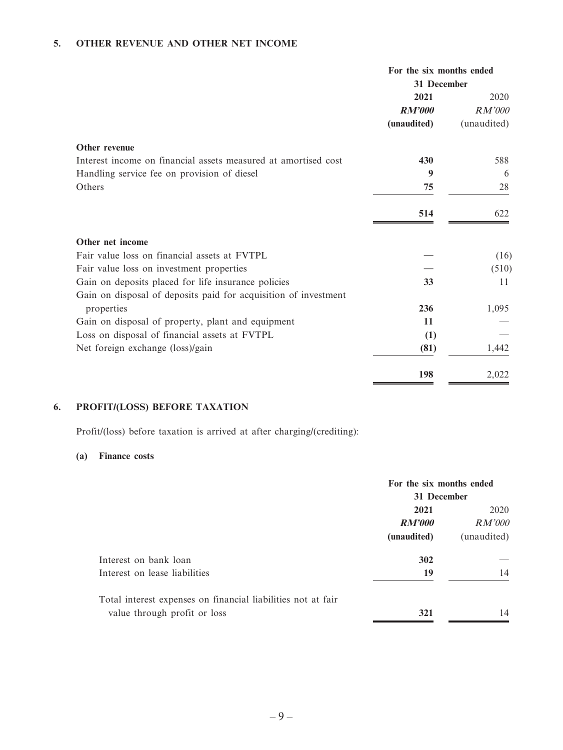### **5. OTHER REVENUE AND OTHER NET INCOME**

|                                                                 | For the six months ended<br>31 December |                       |
|-----------------------------------------------------------------|-----------------------------------------|-----------------------|
|                                                                 | 2021                                    | 2020                  |
|                                                                 | <b>RM'000</b><br>(unaudited)            | RM'000<br>(unaudited) |
| Other revenue                                                   |                                         |                       |
| Interest income on financial assets measured at amortised cost  | 430                                     | 588                   |
| Handling service fee on provision of diesel                     | 9                                       | 6                     |
| Others                                                          | 75                                      | 28                    |
|                                                                 | 514                                     | 622                   |
| Other net income                                                |                                         |                       |
| Fair value loss on financial assets at FVTPL                    |                                         | (16)                  |
| Fair value loss on investment properties                        |                                         | (510)                 |
| Gain on deposits placed for life insurance policies             | 33                                      | 11                    |
| Gain on disposal of deposits paid for acquisition of investment |                                         |                       |
| properties                                                      | 236                                     | 1,095                 |
| Gain on disposal of property, plant and equipment               | 11                                      |                       |
| Loss on disposal of financial assets at FVTPL                   | (1)                                     |                       |
| Net foreign exchange (loss)/gain                                | (81)                                    | 1,442                 |
|                                                                 | 198                                     | 2,022                 |

### **6. PROFIT/(LOSS) BEFORE TAXATION**

Profit/(loss) before taxation is arrived at after charging/(crediting):

#### **(a) Finance costs**

|                                                              | For the six months ended<br>31 December |               |
|--------------------------------------------------------------|-----------------------------------------|---------------|
|                                                              | 2021                                    | 2020          |
|                                                              | RM'000                                  | <i>RM'000</i> |
|                                                              | (unaudited)                             | (unaudited)   |
| Interest on bank loan                                        | 302                                     |               |
| Interest on lease liabilities                                | 19                                      | 14            |
| Total interest expenses on financial liabilities not at fair |                                         |               |
| value through profit or loss                                 | 321                                     | 14            |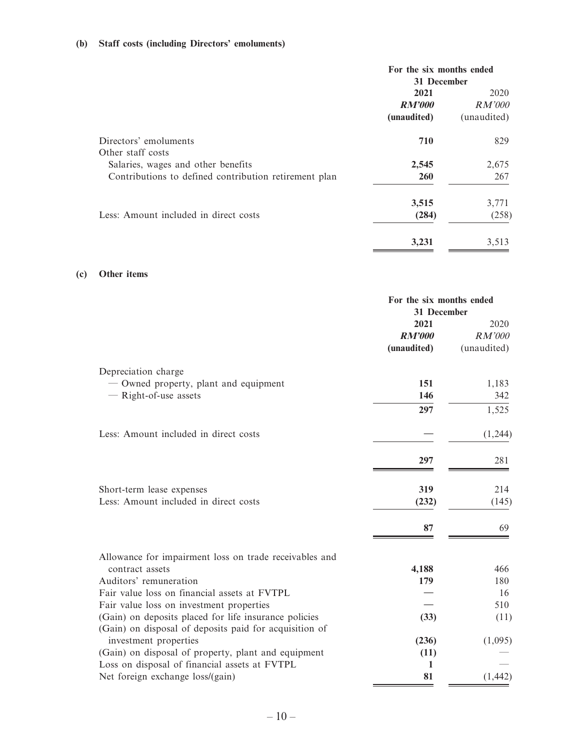### **(b) Staff costs (including Directors' emoluments)**

|                                                       | For the six months ended<br>31 December |               |  |
|-------------------------------------------------------|-----------------------------------------|---------------|--|
|                                                       | 2021<br>2020                            |               |  |
|                                                       | <b>RM'000</b>                           | <i>RM'000</i> |  |
|                                                       | (unaudited)                             | (unaudited)   |  |
| Directors' emoluments                                 | 710                                     | 829           |  |
| Other staff costs                                     |                                         |               |  |
| Salaries, wages and other benefits                    | 2,545                                   | 2,675         |  |
| Contributions to defined contribution retirement plan | <b>260</b>                              | 267           |  |
|                                                       | 3,515                                   | 3,771         |  |
| Less: Amount included in direct costs                 | (284)                                   | (258)         |  |
|                                                       | 3,231                                   | 3,513         |  |

#### **(c) Other items**

|                                                                                                                 | For the six months ended<br>31 December |                               |
|-----------------------------------------------------------------------------------------------------------------|-----------------------------------------|-------------------------------|
|                                                                                                                 | 2021<br><b>RM'000</b><br>(unaudited)    | 2020<br>RM'000<br>(unaudited) |
| Depreciation charge                                                                                             |                                         |                               |
| - Owned property, plant and equipment                                                                           | 151                                     | 1,183                         |
| - Right-of-use assets                                                                                           | 146                                     | 342                           |
|                                                                                                                 | 297                                     | 1,525                         |
| Less: Amount included in direct costs                                                                           |                                         | (1,244)                       |
|                                                                                                                 | 297                                     | 281                           |
| Short-term lease expenses                                                                                       | 319                                     | 214                           |
| Less: Amount included in direct costs                                                                           | (232)                                   | (145)                         |
|                                                                                                                 | 87                                      | 69                            |
| Allowance for impairment loss on trade receivables and                                                          |                                         |                               |
| contract assets                                                                                                 | 4,188                                   | 466                           |
| Auditors' remuneration                                                                                          | 179                                     | 180                           |
| Fair value loss on financial assets at FVTPL                                                                    |                                         | 16                            |
| Fair value loss on investment properties                                                                        |                                         | 510                           |
| (Gain) on deposits placed for life insurance policies<br>(Gain) on disposal of deposits paid for acquisition of | (33)                                    | (11)                          |
| investment properties                                                                                           | (236)                                   | (1,095)                       |
| (Gain) on disposal of property, plant and equipment                                                             | (11)                                    |                               |
| Loss on disposal of financial assets at FVTPL                                                                   | 1                                       |                               |
| Net foreign exchange loss/(gain)                                                                                | 81                                      | (1, 442)                      |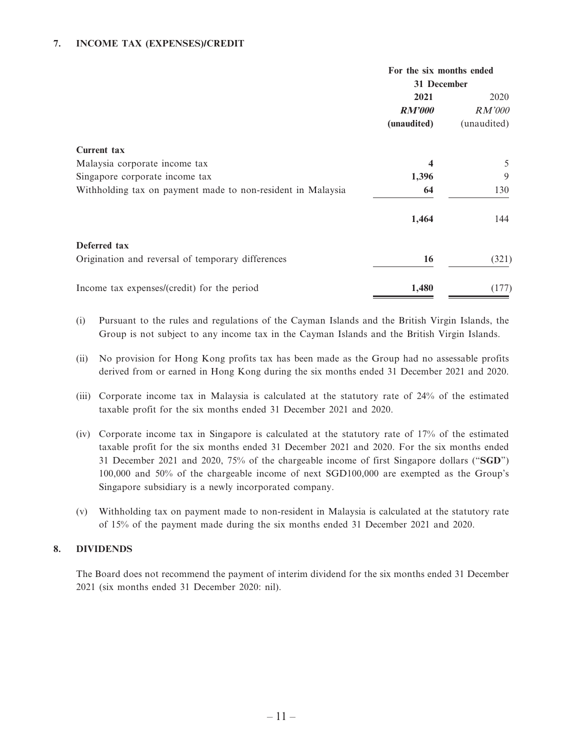### **7. INCOME TAX (EXPENSES)/CREDIT**

|                                                             | For the six months ended |               |  |
|-------------------------------------------------------------|--------------------------|---------------|--|
|                                                             |                          | 31 December   |  |
|                                                             | 2021                     | 2020          |  |
|                                                             | <b>RM'000</b>            | <i>RM'000</i> |  |
|                                                             | (unaudited)              | (unaudited)   |  |
| <b>Current tax</b>                                          |                          |               |  |
| Malaysia corporate income tax                               | $\boldsymbol{4}$         | 5             |  |
| Singapore corporate income tax                              | 1,396                    | 9             |  |
| Withholding tax on payment made to non-resident in Malaysia | 64                       | 130           |  |
|                                                             | 1,464                    | 144           |  |
| Deferred tax                                                |                          |               |  |
| Origination and reversal of temporary differences           | 16                       | (321)         |  |
| Income tax expenses/(credit) for the period                 | 1,480                    | (177)         |  |

- (i) Pursuant to the rules and regulations of the Cayman Islands and the British Virgin Islands, the Group is not subject to any income tax in the Cayman Islands and the British Virgin Islands.
- (ii) No provision for Hong Kong profits tax has been made as the Group had no assessable profits derived from or earned in Hong Kong during the six months ended 31 December 2021 and 2020.
- (iii) Corporate income tax in Malaysia is calculated at the statutory rate of 24% of the estimated taxable profit for the six months ended 31 December 2021 and 2020.
- (iv) Corporate income tax in Singapore is calculated at the statutory rate of 17% of the estimated taxable profit for the six months ended 31 December 2021 and 2020. For the six months ended 31 December 2021 and 2020, 75% of the chargeable income of first Singapore dollars ("**SGD**") 100,000 and 50% of the chargeable income of next SGD100,000 are exempted as the Group's Singapore subsidiary is a newly incorporated company.
- (v) Withholding tax on payment made to non-resident in Malaysia is calculated at the statutory rate of 15% of the payment made during the six months ended 31 December 2021 and 2020.

### **8. DIVIDENDS**

The Board does not recommend the payment of interim dividend for the six months ended 31 December 2021 (six months ended 31 December 2020: nil).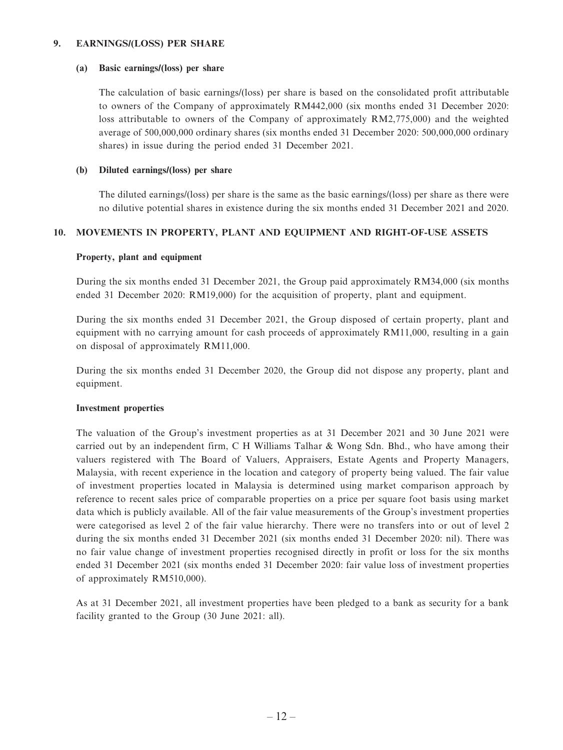#### **9. EARNINGS/(LOSS) PER SHARE**

#### **(a) Basic earnings/(loss) per share**

The calculation of basic earnings/(loss) per share is based on the consolidated profit attributable to owners of the Company of approximately RM442,000 (six months ended 31 December 2020: loss attributable to owners of the Company of approximately RM2,775,000) and the weighted average of 500,000,000 ordinary shares (six months ended 31 December 2020: 500,000,000 ordinary shares) in issue during the period ended 31 December 2021.

#### **(b) Diluted earnings/(loss) per share**

The diluted earnings/(loss) per share is the same as the basic earnings/(loss) per share as there were no dilutive potential shares in existence during the six months ended 31 December 2021 and 2020.

### **10. MOVEMENTS IN PROPERTY, PLANT AND EQUIPMENT AND RIGHT-OF-USE ASSETS**

#### **Property, plant and equipment**

During the six months ended 31 December 2021, the Group paid approximately RM34,000 (six months ended 31 December 2020: RM19,000) for the acquisition of property, plant and equipment.

During the six months ended 31 December 2021, the Group disposed of certain property, plant and equipment with no carrying amount for cash proceeds of approximately RM11,000, resulting in a gain on disposal of approximately RM11,000.

During the six months ended 31 December 2020, the Group did not dispose any property, plant and equipment.

### **Investment properties**

The valuation of the Group's investment properties as at 31 December 2021 and 30 June 2021 were carried out by an independent firm, C H Williams Talhar & Wong Sdn. Bhd., who have among their valuers registered with The Board of Valuers, Appraisers, Estate Agents and Property Managers, Malaysia, with recent experience in the location and category of property being valued. The fair value of investment properties located in Malaysia is determined using market comparison approach by reference to recent sales price of comparable properties on a price per square foot basis using market data which is publicly available. All of the fair value measurements of the Group's investment properties were categorised as level 2 of the fair value hierarchy. There were no transfers into or out of level 2 during the six months ended 31 December 2021 (six months ended 31 December 2020: nil). There was no fair value change of investment properties recognised directly in profit or loss for the six months ended 31 December 2021 (six months ended 31 December 2020: fair value loss of investment properties of approximately RM510,000).

As at 31 December 2021, all investment properties have been pledged to a bank as security for a bank facility granted to the Group (30 June 2021: all).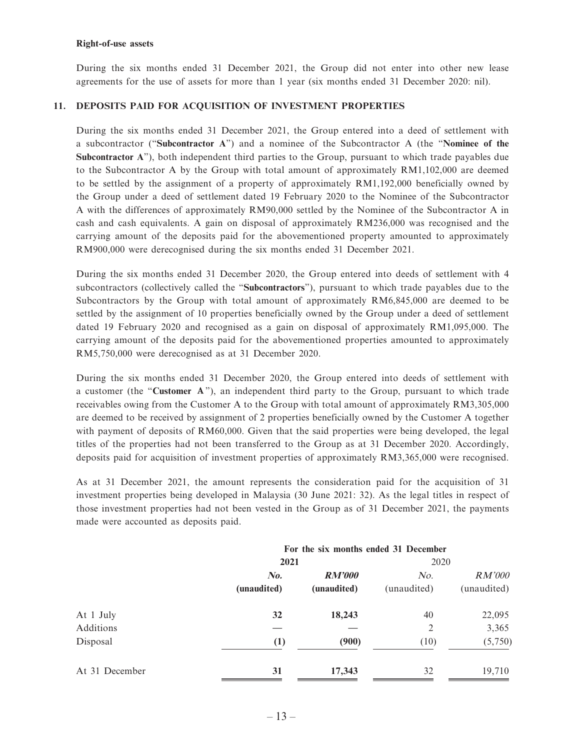#### **Right-of-use assets**

During the six months ended 31 December 2021, the Group did not enter into other new lease agreements for the use of assets for more than 1 year (six months ended 31 December 2020: nil).

### **11. DEPOSITS PAID FOR ACQUISITION OF INVESTMENT PROPERTIES**

During the six months ended 31 December 2021, the Group entered into a deed of settlement with a subcontractor ("**Subcontractor A**") and a nominee of the Subcontractor A (the "**Nominee of the Subcontractor A**"), both independent third parties to the Group, pursuant to which trade payables due to the Subcontractor A by the Group with total amount of approximately RM1,102,000 are deemed to be settled by the assignment of a property of approximately RM1,192,000 beneficially owned by the Group under a deed of settlement dated 19 February 2020 to the Nominee of the Subcontractor A with the differences of approximately RM90,000 settled by the Nominee of the Subcontractor A in cash and cash equivalents. A gain on disposal of approximately RM236,000 was recognised and the carrying amount of the deposits paid for the abovementioned property amounted to approximately RM900,000 were derecognised during the six months ended 31 December 2021.

During the six months ended 31 December 2020, the Group entered into deeds of settlement with 4 subcontractors (collectively called the "**Subcontractors**"), pursuant to which trade payables due to the Subcontractors by the Group with total amount of approximately RM6,845,000 are deemed to be settled by the assignment of 10 properties beneficially owned by the Group under a deed of settlement dated 19 February 2020 and recognised as a gain on disposal of approximately RM1,095,000. The carrying amount of the deposits paid for the abovementioned properties amounted to approximately RM5,750,000 were derecognised as at 31 December 2020.

During the six months ended 31 December 2020, the Group entered into deeds of settlement with a customer (the "**Customer A**"), an independent third party to the Group, pursuant to which trade receivables owing from the Customer A to the Group with total amount of approximately RM3,305,000 are deemed to be received by assignment of 2 properties beneficially owned by the Customer A together with payment of deposits of RM60,000. Given that the said properties were being developed, the legal titles of the properties had not been transferred to the Group as at 31 December 2020. Accordingly, deposits paid for acquisition of investment properties of approximately RM3,365,000 were recognised.

As at 31 December 2021, the amount represents the consideration paid for the acquisition of 31 investment properties being developed in Malaysia (30 June 2021: 32). As the legal titles in respect of those investment properties had not been vested in the Group as of 31 December 2021, the payments made were accounted as deposits paid.

|                | For the six months ended 31 December |               |             |             |
|----------------|--------------------------------------|---------------|-------------|-------------|
|                | 2021                                 |               | 2020        |             |
|                | $\mathbf{N}$ o.                      | <b>RM'000</b> | No.         | RM'000      |
|                | (unaudited)                          | (unaudited)   | (unaudited) | (unaudited) |
| At 1 July      | 32                                   | 18,243        | 40          | 22,095      |
| Additions      |                                      |               | 2           | 3,365       |
| Disposal       | (1)                                  | (900)         | (10)        | (5,750)     |
| At 31 December | 31                                   | 17,343        | 32          | 19,710      |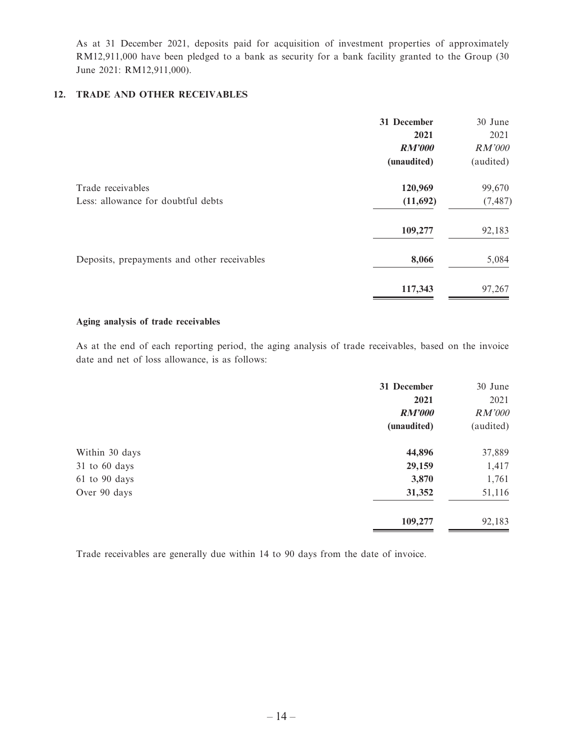As at 31 December 2021, deposits paid for acquisition of investment properties of approximately RM12,911,000 have been pledged to a bank as security for a bank facility granted to the Group (30 June 2021: RM12,911,000).

### **12. TRADE AND OTHER RECEIVABLES**

|                                             | 31 December   | 30 June   |
|---------------------------------------------|---------------|-----------|
|                                             | 2021          | 2021      |
|                                             | <b>RM'000</b> | RM'000    |
|                                             | (unaudited)   | (audited) |
| Trade receivables                           | 120,969       | 99,670    |
| Less: allowance for doubtful debts          | (11,692)      | (7, 487)  |
|                                             | 109,277       | 92,183    |
| Deposits, prepayments and other receivables | 8,066         | 5,084     |
|                                             | 117,343       | 97,267    |

#### **Aging analysis of trade receivables**

As at the end of each reporting period, the aging analysis of trade receivables, based on the invoice date and net of loss allowance, is as follows:

|                | 31 December   | 30 June   |
|----------------|---------------|-----------|
|                | 2021          | 2021      |
|                | <b>RM'000</b> | RM'000    |
|                | (unaudited)   | (audited) |
| Within 30 days | 44,896        | 37,889    |
| 31 to 60 days  | 29,159        | 1,417     |
| 61 to 90 days  | 3,870         | 1,761     |
| Over 90 days   | 31,352        | 51,116    |
|                | 109,277       | 92,183    |

Trade receivables are generally due within 14 to 90 days from the date of invoice.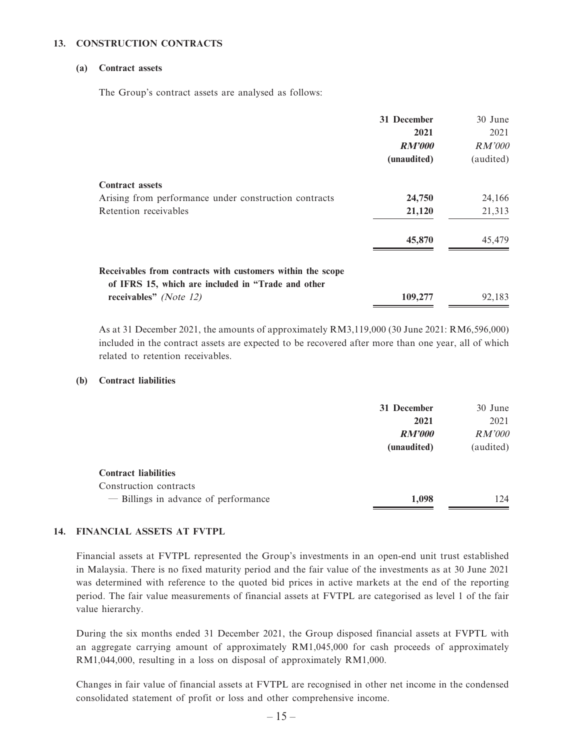### **13. CONSTRUCTION CONTRACTS**

#### **(a) Contract assets**

The Group's contract assets are analysed as follows:

|                                                                                                                  | 31 December   | 30 June   |
|------------------------------------------------------------------------------------------------------------------|---------------|-----------|
|                                                                                                                  | 2021          | 2021      |
|                                                                                                                  | <b>RM'000</b> | RM'000    |
|                                                                                                                  | (unaudited)   | (audited) |
| <b>Contract assets</b>                                                                                           |               |           |
| Arising from performance under construction contracts                                                            | 24,750        | 24,166    |
| Retention receivables                                                                                            | 21,120        | 21,313    |
|                                                                                                                  | 45,870        | 45,479    |
| Receivables from contracts with customers within the scope<br>of IFRS 15, which are included in "Trade and other |               |           |
| receivables" (Note 12)                                                                                           | 109,277       | 92,183    |

As at 31 December 2021, the amounts of approximately RM3,119,000 (30 June 2021: RM6,596,000) included in the contract assets are expected to be recovered after more than one year, all of which related to retention receivables.

#### **(b) Contract liabilities**

|                                      | 31 December   | 30 June       |
|--------------------------------------|---------------|---------------|
|                                      | 2021          | 2021          |
|                                      | <b>RM'000</b> | <i>RM'000</i> |
|                                      | (unaudited)   | (audited)     |
| <b>Contract liabilities</b>          |               |               |
| Construction contracts               |               |               |
| - Billings in advance of performance | 1,098         | 124           |

### **14. FINANCIAL ASSETS AT FVTPL**

Financial assets at FVTPL represented the Group's investments in an open-end unit trust established in Malaysia. There is no fixed maturity period and the fair value of the investments as at 30 June 2021 was determined with reference to the quoted bid prices in active markets at the end of the reporting period. The fair value measurements of financial assets at FVTPL are categorised as level 1 of the fair value hierarchy.

During the six months ended 31 December 2021, the Group disposed financial assets at FVPTL with an aggregate carrying amount of approximately RM1,045,000 for cash proceeds of approximately RM1,044,000, resulting in a loss on disposal of approximately RM1,000.

Changes in fair value of financial assets at FVTPL are recognised in other net income in the condensed consolidated statement of profit or loss and other comprehensive income.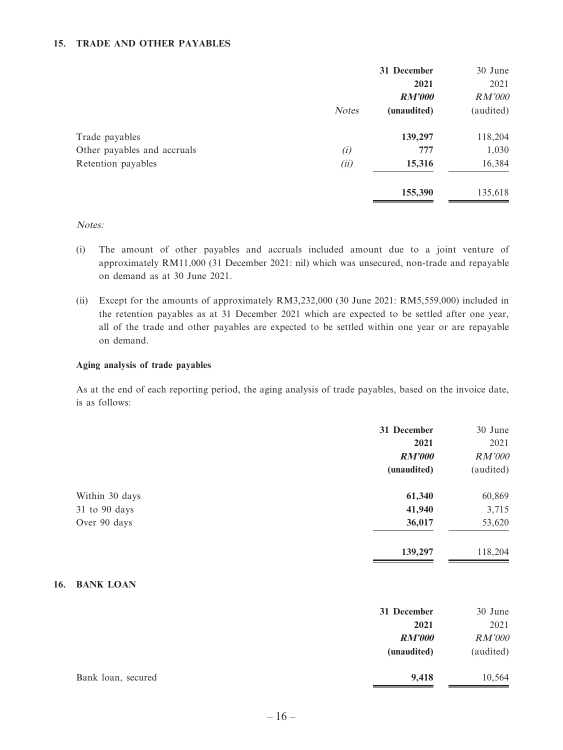### **15. TRADE AND OTHER PAYABLES**

|                             |              | 31 December           | 30 June        |
|-----------------------------|--------------|-----------------------|----------------|
|                             |              | 2021<br><b>RM'000</b> | 2021<br>RM'000 |
|                             | <b>Notes</b> | (unaudited)           | (audited)      |
| Trade payables              |              | 139,297               | 118,204        |
| Other payables and accruals | (i)          | 777                   | 1,030          |
| Retention payables          | (ii)         | 15,316                | 16,384         |
|                             |              | 155,390               | 135,618        |

#### Notes:

- (i) The amount of other payables and accruals included amount due to a joint venture of approximately RM11,000 (31 December 2021: nil) which was unsecured, non-trade and repayable on demand as at 30 June 2021.
- (ii) Except for the amounts of approximately RM3,232,000 (30 June 2021: RM5,559,000) included in the retention payables as at 31 December 2021 which are expected to be settled after one year, all of the trade and other payables are expected to be settled within one year or are repayable on demand.

#### **Aging analysis of trade payables**

As at the end of each reporting period, the aging analysis of trade payables, based on the invoice date, is as follows:

|                | 31 December<br>2021<br><b>RM'000</b> | 30 June<br>2021<br>RM'000 |
|----------------|--------------------------------------|---------------------------|
|                | (unaudited)                          | (audited)                 |
| Within 30 days | 61,340                               | 60,869                    |
| 31 to 90 days  | 41,940                               | 3,715                     |
| Over 90 days   | 36,017                               | 53,620                    |
|                | 139,297                              | 118,204                   |

### **16. BANK LOAN**

|                    | 31 December<br>2021          | 30 June<br>2021     |
|--------------------|------------------------------|---------------------|
|                    | <b>RM'000</b><br>(unaudited) | RM'000<br>(audited) |
| Bank loan, secured | 9,418                        | 10,564              |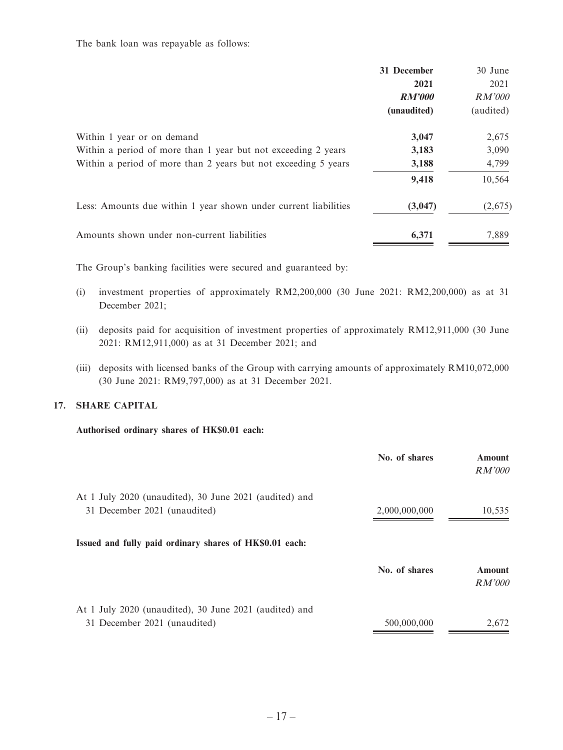The bank loan was repayable as follows:

|                                                                                                                                                               | 31 December<br>2021<br>RM'000<br>(unaudited) | 30 June<br>2021<br><i>RM'000</i><br>(audited) |
|---------------------------------------------------------------------------------------------------------------------------------------------------------------|----------------------------------------------|-----------------------------------------------|
| Within 1 year or on demand<br>Within a period of more than 1 year but not exceeding 2 years<br>Within a period of more than 2 years but not exceeding 5 years | 3,047<br>3,183<br>3,188<br>9,418             | 2,675<br>3,090<br>4,799<br>10,564             |
| Less: Amounts due within 1 year shown under current liabilities                                                                                               | (3,047)                                      | (2,675)                                       |
| Amounts shown under non-current liabilities                                                                                                                   | 6,371                                        | 7,889                                         |

The Group's banking facilities were secured and guaranteed by:

- (i) investment properties of approximately RM2,200,000 (30 June 2021: RM2,200,000) as at 31 December 2021;
- (ii) deposits paid for acquisition of investment properties of approximately RM12,911,000 (30 June 2021: RM12,911,000) as at 31 December 2021; and
- (iii) deposits with licensed banks of the Group with carrying amounts of approximately RM10,072,000 (30 June 2021: RM9,797,000) as at 31 December 2021.

### **17. SHARE CAPITAL**

### **Authorised ordinary shares of HK\$0.01 each:**

|                                                         | No. of shares | <b>Amount</b><br><i>RM'000</i> |
|---------------------------------------------------------|---------------|--------------------------------|
| At 1 July 2020 (unaudited), 30 June 2021 (audited) and  |               |                                |
| 31 December 2021 (unaudited)                            | 2,000,000,000 | 10,535                         |
| Issued and fully paid ordinary shares of HK\$0.01 each: |               |                                |
|                                                         | No. of shares | <b>Amount</b><br>RM'000        |
| At 1 July 2020 (unaudited), 30 June 2021 (audited) and  |               |                                |
| 31 December 2021 (unaudited)                            | 500,000,000   | 2,672                          |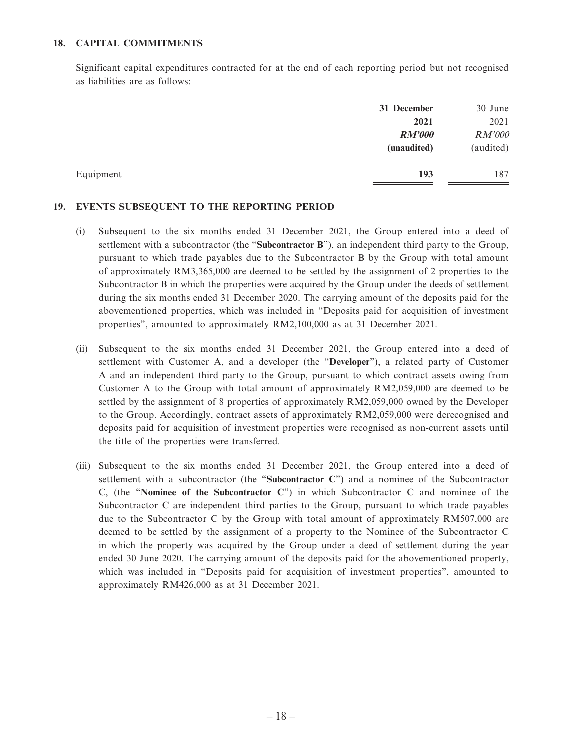#### **18. CAPITAL COMMITMENTS**

Significant capital expenditures contracted for at the end of each reporting period but not recognised as liabilities are as follows:

|           | 31 December   | 30 June   |
|-----------|---------------|-----------|
|           | 2021          | 2021      |
|           | <b>RM'000</b> | RM'000    |
|           | (unaudited)   | (audited) |
| Equipment | 193           | 187       |

#### **19. EVENTS SUBSEQUENT TO THE REPORTING PERIOD**

- (i) Subsequent to the six months ended 31 December 2021, the Group entered into a deed of settlement with a subcontractor (the "**Subcontractor B**"), an independent third party to the Group, pursuant to which trade payables due to the Subcontractor B by the Group with total amount of approximately RM3,365,000 are deemed to be settled by the assignment of 2 properties to the Subcontractor B in which the properties were acquired by the Group under the deeds of settlement during the six months ended 31 December 2020. The carrying amount of the deposits paid for the abovementioned properties, which was included in "Deposits paid for acquisition of investment properties", amounted to approximately RM2,100,000 as at 31 December 2021.
- (ii) Subsequent to the six months ended 31 December 2021, the Group entered into a deed of settlement with Customer A, and a developer (the "**Developer**"), a related party of Customer A and an independent third party to the Group, pursuant to which contract assets owing from Customer A to the Group with total amount of approximately RM2,059,000 are deemed to be settled by the assignment of 8 properties of approximately RM2,059,000 owned by the Developer to the Group. Accordingly, contract assets of approximately RM2,059,000 were derecognised and deposits paid for acquisition of investment properties were recognised as non-current assets until the title of the properties were transferred.
- (iii) Subsequent to the six months ended 31 December 2021, the Group entered into a deed of settlement with a subcontractor (the "**Subcontractor C**") and a nominee of the Subcontractor C, (the "**Nominee of the Subcontractor C**") in which Subcontractor C and nominee of the Subcontractor C are independent third parties to the Group, pursuant to which trade payables due to the Subcontractor C by the Group with total amount of approximately RM507,000 are deemed to be settled by the assignment of a property to the Nominee of the Subcontractor C in which the property was acquired by the Group under a deed of settlement during the year ended 30 June 2020. The carrying amount of the deposits paid for the abovementioned property, which was included in "Deposits paid for acquisition of investment properties", amounted to approximately RM426,000 as at 31 December 2021.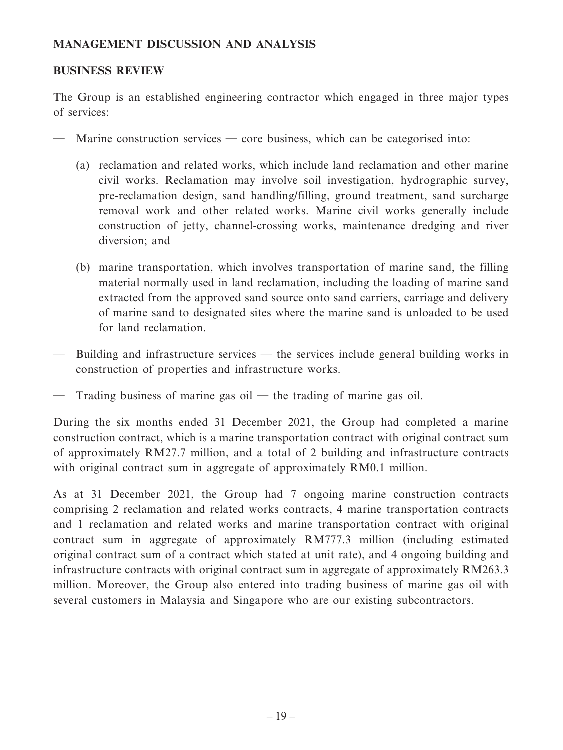### **MANAGEMENT DISCUSSION AND ANALYSIS**

### **BUSINESS REVIEW**

The Group is an established engineering contractor which engaged in three major types of services:

- Marine construction services core business, which can be categorised into:
	- (a) reclamation and related works, which include land reclamation and other marine civil works. Reclamation may involve soil investigation, hydrographic survey, pre-reclamation design, sand handling/filling, ground treatment, sand surcharge removal work and other related works. Marine civil works generally include construction of jetty, channel-crossing works, maintenance dredging and river diversion; and
	- (b) marine transportation, which involves transportation of marine sand, the filling material normally used in land reclamation, including the loading of marine sand extracted from the approved sand source onto sand carriers, carriage and delivery of marine sand to designated sites where the marine sand is unloaded to be used for land reclamation.
- Building and infrastructure services the services include general building works in construction of properties and infrastructure works.
- Trading business of marine gas oil the trading of marine gas oil.

During the six months ended 31 December 2021, the Group had completed a marine construction contract, which is a marine transportation contract with original contract sum of approximately RM27.7 million, and a total of 2 building and infrastructure contracts with original contract sum in aggregate of approximately RM0.1 million.

As at 31 December 2021, the Group had 7 ongoing marine construction contracts comprising 2 reclamation and related works contracts, 4 marine transportation contracts and 1 reclamation and related works and marine transportation contract with original contract sum in aggregate of approximately RM777.3 million (including estimated original contract sum of a contract which stated at unit rate), and 4 ongoing building and infrastructure contracts with original contract sum in aggregate of approximately RM263.3 million. Moreover, the Group also entered into trading business of marine gas oil with several customers in Malaysia and Singapore who are our existing subcontractors.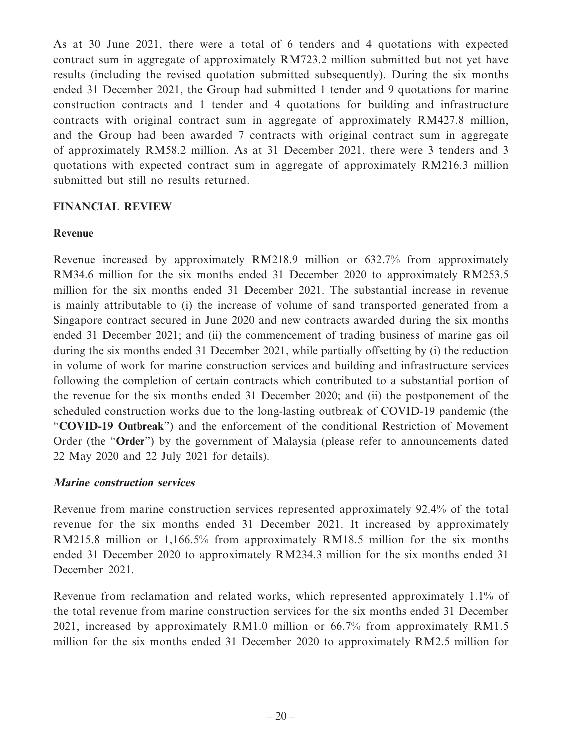As at 30 June 2021, there were a total of 6 tenders and 4 quotations with expected contract sum in aggregate of approximately RM723.2 million submitted but not yet have results (including the revised quotation submitted subsequently). During the six months ended 31 December 2021, the Group had submitted 1 tender and 9 quotations for marine construction contracts and 1 tender and 4 quotations for building and infrastructure contracts with original contract sum in aggregate of approximately RM427.8 million, and the Group had been awarded 7 contracts with original contract sum in aggregate of approximately RM58.2 million. As at 31 December 2021, there were 3 tenders and 3 quotations with expected contract sum in aggregate of approximately RM216.3 million submitted but still no results returned.

### **FINANCIAL REVIEW**

### **Revenue**

Revenue increased by approximately RM218.9 million or 632.7% from approximately RM34.6 million for the six months ended 31 December 2020 to approximately RM253.5 million for the six months ended 31 December 2021. The substantial increase in revenue is mainly attributable to (i) the increase of volume of sand transported generated from a Singapore contract secured in June 2020 and new contracts awarded during the six months ended 31 December 2021; and (ii) the commencement of trading business of marine gas oil during the six months ended 31 December 2021, while partially offsetting by (i) the reduction in volume of work for marine construction services and building and infrastructure services following the completion of certain contracts which contributed to a substantial portion of the revenue for the six months ended 31 December 2020; and (ii) the postponement of the scheduled construction works due to the long-lasting outbreak of COVID-19 pandemic (the "**COVID-19 Outbreak**") and the enforcement of the conditional Restriction of Movement Order (the "**Order**") by the government of Malaysia (please refer to announcements dated 22 May 2020 and 22 July 2021 for details).

### **Marine construction services**

Revenue from marine construction services represented approximately 92.4% of the total revenue for the six months ended 31 December 2021. It increased by approximately RM215.8 million or 1,166.5% from approximately RM18.5 million for the six months ended 31 December 2020 to approximately RM234.3 million for the six months ended 31 December 2021.

Revenue from reclamation and related works, which represented approximately 1.1% of the total revenue from marine construction services for the six months ended 31 December 2021, increased by approximately RM1.0 million or 66.7% from approximately RM1.5 million for the six months ended 31 December 2020 to approximately RM2.5 million for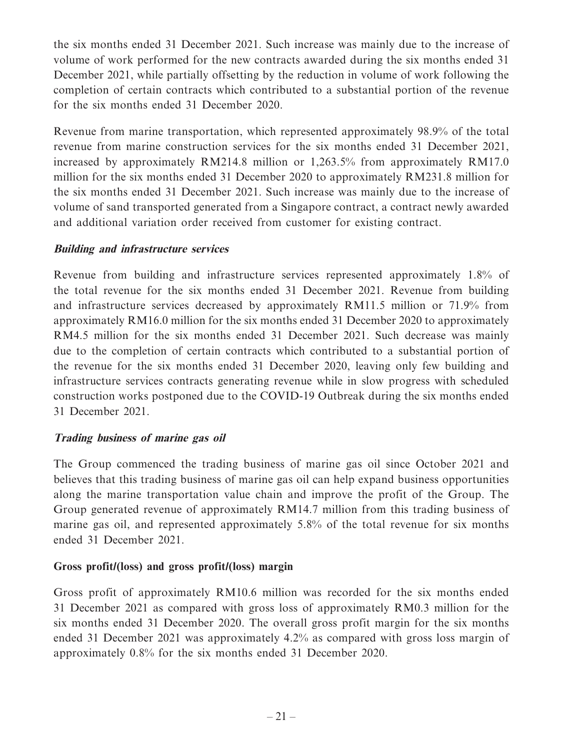the six months ended 31 December 2021. Such increase was mainly due to the increase of volume of work performed for the new contracts awarded during the six months ended 31 December 2021, while partially offsetting by the reduction in volume of work following the completion of certain contracts which contributed to a substantial portion of the revenue for the six months ended 31 December 2020.

Revenue from marine transportation, which represented approximately 98.9% of the total revenue from marine construction services for the six months ended 31 December 2021, increased by approximately RM214.8 million or 1,263.5% from approximately RM17.0 million for the six months ended 31 December 2020 to approximately RM231.8 million for the six months ended 31 December 2021. Such increase was mainly due to the increase of volume of sand transported generated from a Singapore contract, a contract newly awarded and additional variation order received from customer for existing contract.

### **Building and infrastructure services**

Revenue from building and infrastructure services represented approximately 1.8% of the total revenue for the six months ended 31 December 2021. Revenue from building and infrastructure services decreased by approximately RM11.5 million or 71.9% from approximately RM16.0 million for the six months ended 31 December 2020 to approximately RM4.5 million for the six months ended 31 December 2021. Such decrease was mainly due to the completion of certain contracts which contributed to a substantial portion of the revenue for the six months ended 31 December 2020, leaving only few building and infrastructure services contracts generating revenue while in slow progress with scheduled construction works postponed due to the COVID-19 Outbreak during the six months ended 31 December 2021.

# **Trading business of marine gas oil**

The Group commenced the trading business of marine gas oil since October 2021 and believes that this trading business of marine gas oil can help expand business opportunities along the marine transportation value chain and improve the profit of the Group. The Group generated revenue of approximately RM14.7 million from this trading business of marine gas oil, and represented approximately 5.8% of the total revenue for six months ended 31 December 2021.

### **Gross profit/(loss) and gross profit/(loss) margin**

Gross profit of approximately RM10.6 million was recorded for the six months ended 31 December 2021 as compared with gross loss of approximately RM0.3 million for the six months ended 31 December 2020. The overall gross profit margin for the six months ended 31 December 2021 was approximately 4.2% as compared with gross loss margin of approximately 0.8% for the six months ended 31 December 2020.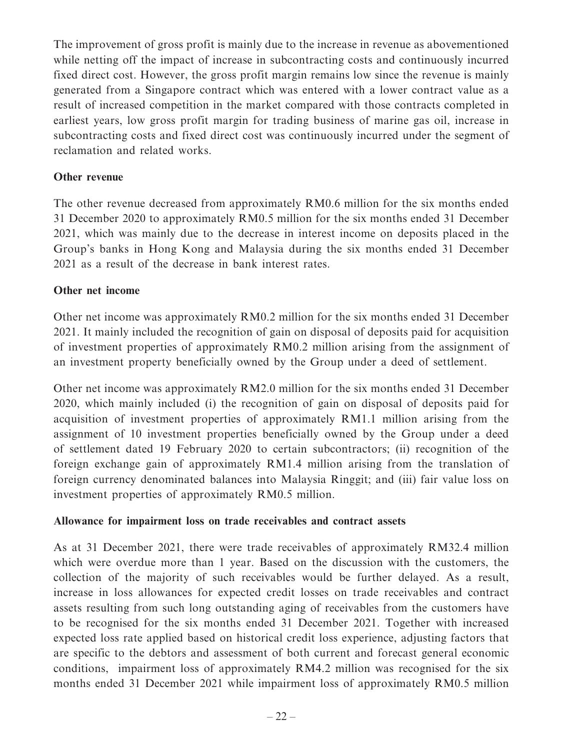The improvement of gross profit is mainly due to the increase in revenue as abovementioned while netting off the impact of increase in subcontracting costs and continuously incurred fixed direct cost. However, the gross profit margin remains low since the revenue is mainly generated from a Singapore contract which was entered with a lower contract value as a result of increased competition in the market compared with those contracts completed in earliest years, low gross profit margin for trading business of marine gas oil, increase in subcontracting costs and fixed direct cost was continuously incurred under the segment of reclamation and related works.

### **Other revenue**

The other revenue decreased from approximately RM0.6 million for the six months ended 31 December 2020 to approximately RM0.5 million for the six months ended 31 December 2021, which was mainly due to the decrease in interest income on deposits placed in the Group's banks in Hong Kong and Malaysia during the six months ended 31 December 2021 as a result of the decrease in bank interest rates.

### **Other net income**

Other net income was approximately RM0.2 million for the six months ended 31 December 2021. It mainly included the recognition of gain on disposal of deposits paid for acquisition of investment properties of approximately RM0.2 million arising from the assignment of an investment property beneficially owned by the Group under a deed of settlement.

Other net income was approximately RM2.0 million for the six months ended 31 December 2020, which mainly included (i) the recognition of gain on disposal of deposits paid for acquisition of investment properties of approximately RM1.1 million arising from the assignment of 10 investment properties beneficially owned by the Group under a deed of settlement dated 19 February 2020 to certain subcontractors; (ii) recognition of the foreign exchange gain of approximately RM1.4 million arising from the translation of foreign currency denominated balances into Malaysia Ringgit; and (iii) fair value loss on investment properties of approximately RM0.5 million.

### **Allowance for impairment loss on trade receivables and contract assets**

As at 31 December 2021, there were trade receivables of approximately RM32.4 million which were overdue more than 1 year. Based on the discussion with the customers, the collection of the majority of such receivables would be further delayed. As a result, increase in loss allowances for expected credit losses on trade receivables and contract assets resulting from such long outstanding aging of receivables from the customers have to be recognised for the six months ended 31 December 2021. Together with increased expected loss rate applied based on historical credit loss experience, adjusting factors that are specific to the debtors and assessment of both current and forecast general economic conditions, impairment loss of approximately RM4.2 million was recognised for the six months ended 31 December 2021 while impairment loss of approximately RM0.5 million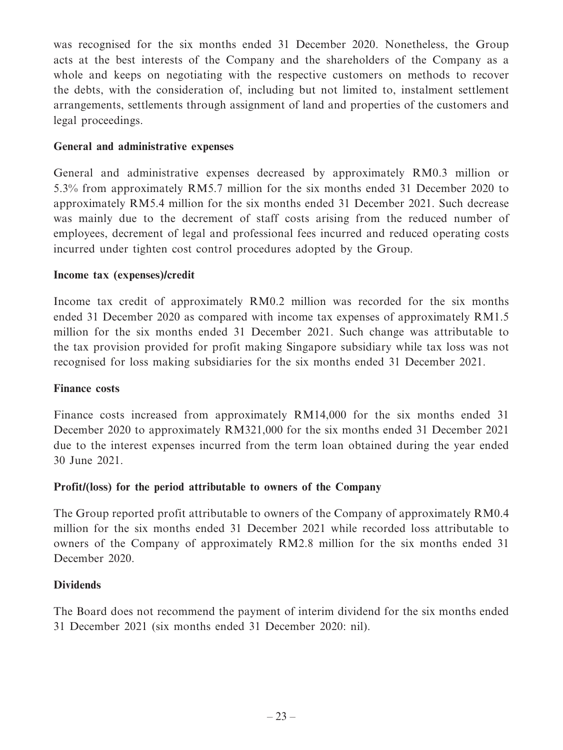was recognised for the six months ended 31 December 2020. Nonetheless, the Group acts at the best interests of the Company and the shareholders of the Company as a whole and keeps on negotiating with the respective customers on methods to recover the debts, with the consideration of, including but not limited to, instalment settlement arrangements, settlements through assignment of land and properties of the customers and legal proceedings.

### **General and administrative expenses**

General and administrative expenses decreased by approximately RM0.3 million or 5.3% from approximately RM5.7 million for the six months ended 31 December 2020 to approximately RM5.4 million for the six months ended 31 December 2021. Such decrease was mainly due to the decrement of staff costs arising from the reduced number of employees, decrement of legal and professional fees incurred and reduced operating costs incurred under tighten cost control procedures adopted by the Group.

### **Income tax (expenses)/credit**

Income tax credit of approximately RM0.2 million was recorded for the six months ended 31 December 2020 as compared with income tax expenses of approximately RM1.5 million for the six months ended 31 December 2021. Such change was attributable to the tax provision provided for profit making Singapore subsidiary while tax loss was not recognised for loss making subsidiaries for the six months ended 31 December 2021.

### **Finance costs**

Finance costs increased from approximately RM14,000 for the six months ended 31 December 2020 to approximately RM321,000 for the six months ended 31 December 2021 due to the interest expenses incurred from the term loan obtained during the year ended 30 June 2021.

# **Profit/(loss) for the period attributable to owners of the Company**

The Group reported profit attributable to owners of the Company of approximately RM0.4 million for the six months ended 31 December 2021 while recorded loss attributable to owners of the Company of approximately RM2.8 million for the six months ended 31 December 2020.

### **Dividends**

The Board does not recommend the payment of interim dividend for the six months ended 31 December 2021 (six months ended 31 December 2020: nil).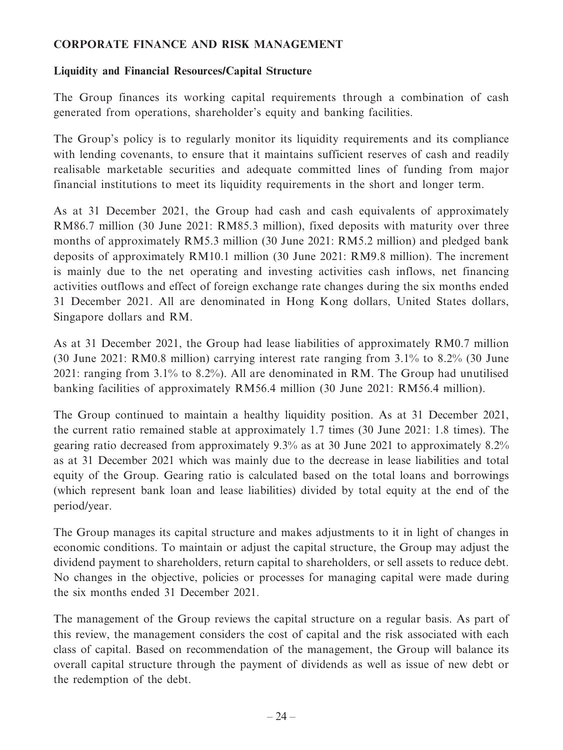### **CORPORATE FINANCE AND RISK MANAGEMENT**

### **Liquidity and Financial Resources/Capital Structure**

The Group finances its working capital requirements through a combination of cash generated from operations, shareholder's equity and banking facilities.

The Group's policy is to regularly monitor its liquidity requirements and its compliance with lending covenants, to ensure that it maintains sufficient reserves of cash and readily realisable marketable securities and adequate committed lines of funding from major financial institutions to meet its liquidity requirements in the short and longer term.

As at 31 December 2021, the Group had cash and cash equivalents of approximately RM86.7 million (30 June 2021: RM85.3 million), fixed deposits with maturity over three months of approximately RM5.3 million (30 June 2021: RM5.2 million) and pledged bank deposits of approximately RM10.1 million (30 June 2021: RM9.8 million). The increment is mainly due to the net operating and investing activities cash inflows, net financing activities outflows and effect of foreign exchange rate changes during the six months ended 31 December 2021. All are denominated in Hong Kong dollars, United States dollars, Singapore dollars and RM.

As at 31 December 2021, the Group had lease liabilities of approximately RM0.7 million (30 June 2021: RM0.8 million) carrying interest rate ranging from 3.1% to 8.2% (30 June 2021: ranging from 3.1% to 8.2%). All are denominated in RM. The Group had unutilised banking facilities of approximately RM56.4 million (30 June 2021: RM56.4 million).

The Group continued to maintain a healthy liquidity position. As at 31 December 2021, the current ratio remained stable at approximately 1.7 times (30 June 2021: 1.8 times). The gearing ratio decreased from approximately 9.3% as at 30 June 2021 to approximately 8.2% as at 31 December 2021 which was mainly due to the decrease in lease liabilities and total equity of the Group. Gearing ratio is calculated based on the total loans and borrowings (which represent bank loan and lease liabilities) divided by total equity at the end of the period/year.

The Group manages its capital structure and makes adjustments to it in light of changes in economic conditions. To maintain or adjust the capital structure, the Group may adjust the dividend payment to shareholders, return capital to shareholders, or sell assets to reduce debt. No changes in the objective, policies or processes for managing capital were made during the six months ended 31 December 2021.

The management of the Group reviews the capital structure on a regular basis. As part of this review, the management considers the cost of capital and the risk associated with each class of capital. Based on recommendation of the management, the Group will balance its overall capital structure through the payment of dividends as well as issue of new debt or the redemption of the debt.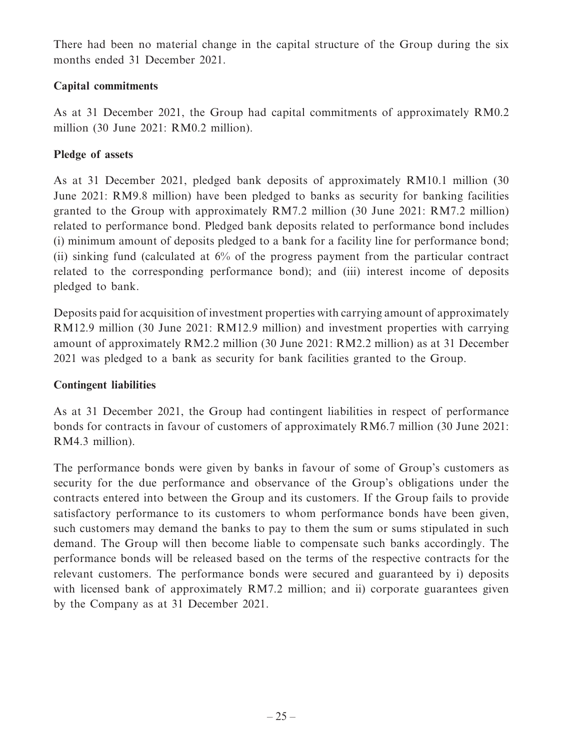There had been no material change in the capital structure of the Group during the six months ended 31 December 2021.

# **Capital commitments**

As at 31 December 2021, the Group had capital commitments of approximately RM0.2 million (30 June 2021: RM0.2 million).

# **Pledge of assets**

As at 31 December 2021, pledged bank deposits of approximately RM10.1 million (30 June 2021: RM9.8 million) have been pledged to banks as security for banking facilities granted to the Group with approximately RM7.2 million (30 June 2021: RM7.2 million) related to performance bond. Pledged bank deposits related to performance bond includes (i) minimum amount of deposits pledged to a bank for a facility line for performance bond; (ii) sinking fund (calculated at 6% of the progress payment from the particular contract related to the corresponding performance bond); and (iii) interest income of deposits pledged to bank.

Deposits paid for acquisition of investment properties with carrying amount of approximately RM12.9 million (30 June 2021: RM12.9 million) and investment properties with carrying amount of approximately RM2.2 million (30 June 2021: RM2.2 million) as at 31 December 2021 was pledged to a bank as security for bank facilities granted to the Group.

# **Contingent liabilities**

As at 31 December 2021, the Group had contingent liabilities in respect of performance bonds for contracts in favour of customers of approximately RM6.7 million (30 June 2021: RM4.3 million).

The performance bonds were given by banks in favour of some of Group's customers as security for the due performance and observance of the Group's obligations under the contracts entered into between the Group and its customers. If the Group fails to provide satisfactory performance to its customers to whom performance bonds have been given, such customers may demand the banks to pay to them the sum or sums stipulated in such demand. The Group will then become liable to compensate such banks accordingly. The performance bonds will be released based on the terms of the respective contracts for the relevant customers. The performance bonds were secured and guaranteed by i) deposits with licensed bank of approximately RM7.2 million; and ii) corporate guarantees given by the Company as at 31 December 2021.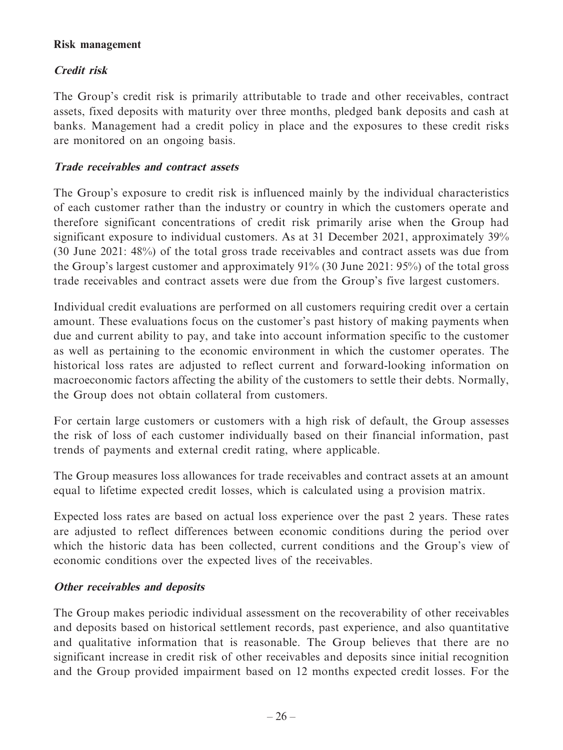### **Risk management**

# **Credit risk**

The Group's credit risk is primarily attributable to trade and other receivables, contract assets, fixed deposits with maturity over three months, pledged bank deposits and cash at banks. Management had a credit policy in place and the exposures to these credit risks are monitored on an ongoing basis.

### **Trade receivables and contract assets**

The Group's exposure to credit risk is influenced mainly by the individual characteristics of each customer rather than the industry or country in which the customers operate and therefore significant concentrations of credit risk primarily arise when the Group had significant exposure to individual customers. As at 31 December 2021, approximately 39% (30 June 2021: 48%) of the total gross trade receivables and contract assets was due from the Group's largest customer and approximately 91% (30 June 2021: 95%) of the total gross trade receivables and contract assets were due from the Group's five largest customers.

Individual credit evaluations are performed on all customers requiring credit over a certain amount. These evaluations focus on the customer's past history of making payments when due and current ability to pay, and take into account information specific to the customer as well as pertaining to the economic environment in which the customer operates. The historical loss rates are adjusted to reflect current and forward-looking information on macroeconomic factors affecting the ability of the customers to settle their debts. Normally, the Group does not obtain collateral from customers.

For certain large customers or customers with a high risk of default, the Group assesses the risk of loss of each customer individually based on their financial information, past trends of payments and external credit rating, where applicable.

The Group measures loss allowances for trade receivables and contract assets at an amount equal to lifetime expected credit losses, which is calculated using a provision matrix.

Expected loss rates are based on actual loss experience over the past 2 years. These rates are adjusted to reflect differences between economic conditions during the period over which the historic data has been collected, current conditions and the Group's view of economic conditions over the expected lives of the receivables.

# **Other receivables and deposits**

The Group makes periodic individual assessment on the recoverability of other receivables and deposits based on historical settlement records, past experience, and also quantitative and qualitative information that is reasonable. The Group believes that there are no significant increase in credit risk of other receivables and deposits since initial recognition and the Group provided impairment based on 12 months expected credit losses. For the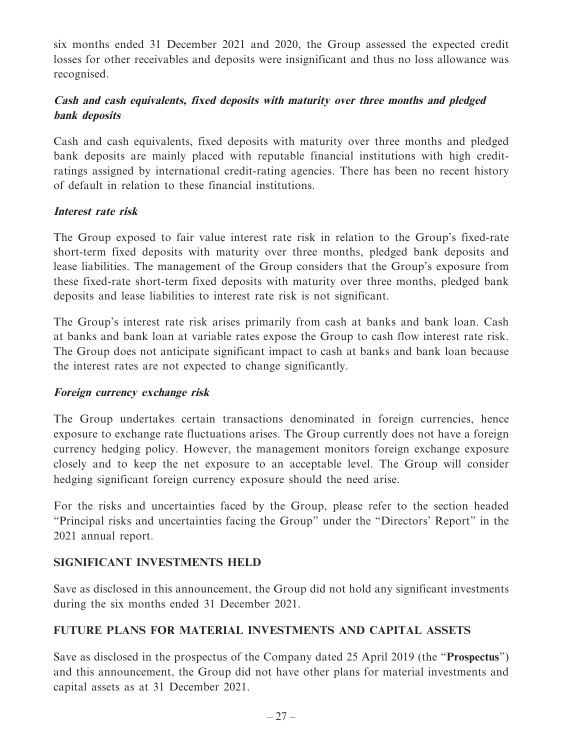six months ended 31 December 2021 and 2020, the Group assessed the expected credit losses for other receivables and deposits were insignificant and thus no loss allowance was recognised.

# **Cash and cash equivalents, fixed deposits with maturity over three months and pledged bank deposits**

Cash and cash equivalents, fixed deposits with maturity over three months and pledged bank deposits are mainly placed with reputable financial institutions with high creditratings assigned by international credit-rating agencies. There has been no recent history of default in relation to these financial institutions.

### **Interest rate risk**

The Group exposed to fair value interest rate risk in relation to the Group's fixed-rate short-term fixed deposits with maturity over three months, pledged bank deposits and lease liabilities. The management of the Group considers that the Group's exposure from these fixed-rate short-term fixed deposits with maturity over three months, pledged bank deposits and lease liabilities to interest rate risk is not significant.

The Group's interest rate risk arises primarily from cash at banks and bank loan. Cash at banks and bank loan at variable rates expose the Group to cash flow interest rate risk. The Group does not anticipate significant impact to cash at banks and bank loan because the interest rates are not expected to change significantly.

### **Foreign currency exchange risk**

The Group undertakes certain transactions denominated in foreign currencies, hence exposure to exchange rate fluctuations arises. The Group currently does not have a foreign currency hedging policy. However, the management monitors foreign exchange exposure closely and to keep the net exposure to an acceptable level. The Group will consider hedging significant foreign currency exposure should the need arise.

For the risks and uncertainties faced by the Group, please refer to the section headed "Principal risks and uncertainties facing the Group" under the "Directors' Report" in the 2021 annual report.

# **SIGNIFICANT INVESTMENTS HELD**

Save as disclosed in this announcement, the Group did not hold any significant investments during the six months ended 31 December 2021.

# **FUTURE PLANS FOR MATERIAL INVESTMENTS AND CAPITAL ASSETS**

Save as disclosed in the prospectus of the Company dated 25 April 2019 (the "**Prospectus**") and this announcement, the Group did not have other plans for material investments and capital assets as at 31 December 2021.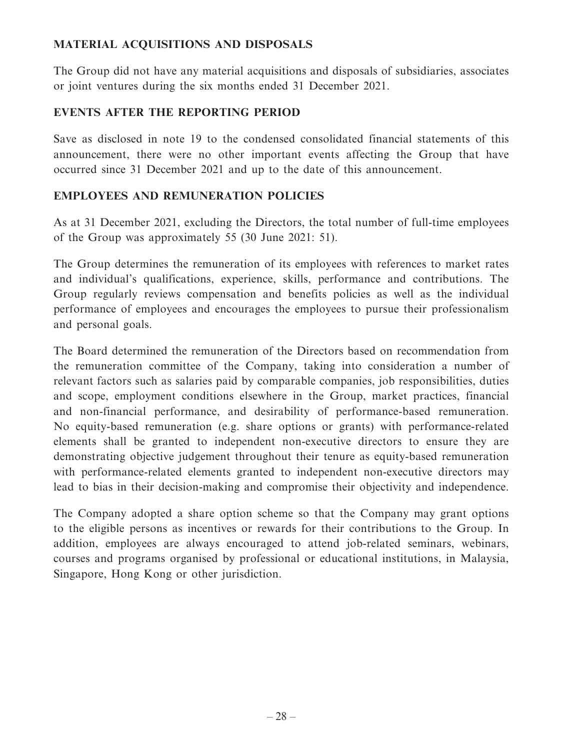# **MATERIAL ACQUISITIONS AND DISPOSALS**

The Group did not have any material acquisitions and disposals of subsidiaries, associates or joint ventures during the six months ended 31 December 2021.

# **EVENTS AFTER THE REPORTING PERIOD**

Save as disclosed in note 19 to the condensed consolidated financial statements of this announcement, there were no other important events affecting the Group that have occurred since 31 December 2021 and up to the date of this announcement.

# **EMPLOYEES AND REMUNERATION POLICIES**

As at 31 December 2021, excluding the Directors, the total number of full-time employees of the Group was approximately 55 (30 June 2021: 51).

The Group determines the remuneration of its employees with references to market rates and individual's qualifications, experience, skills, performance and contributions. The Group regularly reviews compensation and benefits policies as well as the individual performance of employees and encourages the employees to pursue their professionalism and personal goals.

The Board determined the remuneration of the Directors based on recommendation from the remuneration committee of the Company, taking into consideration a number of relevant factors such as salaries paid by comparable companies, job responsibilities, duties and scope, employment conditions elsewhere in the Group, market practices, financial and non-financial performance, and desirability of performance-based remuneration. No equity-based remuneration (e.g. share options or grants) with performance-related elements shall be granted to independent non-executive directors to ensure they are demonstrating objective judgement throughout their tenure as equity-based remuneration with performance-related elements granted to independent non-executive directors may lead to bias in their decision-making and compromise their objectivity and independence.

The Company adopted a share option scheme so that the Company may grant options to the eligible persons as incentives or rewards for their contributions to the Group. In addition, employees are always encouraged to attend job-related seminars, webinars, courses and programs organised by professional or educational institutions, in Malaysia, Singapore, Hong Kong or other jurisdiction.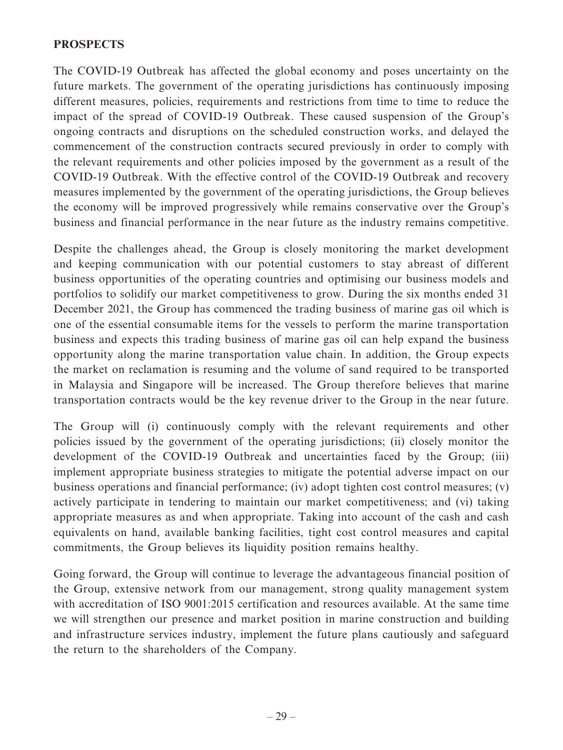### **PROSPECTS**

The COVID-19 Outbreak has affected the global economy and poses uncertainty on the future markets. The government of the operating jurisdictions has continuously imposing different measures, policies, requirements and restrictions from time to time to reduce the impact of the spread of COVID-19 Outbreak. These caused suspension of the Group's ongoing contracts and disruptions on the scheduled construction works, and delayed the commencement of the construction contracts secured previously in order to comply with the relevant requirements and other policies imposed by the government as a result of the COVID-19 Outbreak. With the effective control of the COVID-19 Outbreak and recovery measures implemented by the government of the operating jurisdictions, the Group believes the economy will be improved progressively while remains conservative over the Group's business and financial performance in the near future as the industry remains competitive.

Despite the challenges ahead, the Group is closely monitoring the market development and keeping communication with our potential customers to stay abreast of different business opportunities of the operating countries and optimising our business models and portfolios to solidify our market competitiveness to grow. During the six months ended 31 December 2021, the Group has commenced the trading business of marine gas oil which is one of the essential consumable items for the vessels to perform the marine transportation business and expects this trading business of marine gas oil can help expand the business opportunity along the marine transportation value chain. In addition, the Group expects the market on reclamation is resuming and the volume of sand required to be transported in Malaysia and Singapore will be increased. The Group therefore believes that marine transportation contracts would be the key revenue driver to the Group in the near future.

The Group will (i) continuously comply with the relevant requirements and other policies issued by the government of the operating jurisdictions; (ii) closely monitor the development of the COVID-19 Outbreak and uncertainties faced by the Group; (iii) implement appropriate business strategies to mitigate the potential adverse impact on our business operations and financial performance; (iv) adopt tighten cost control measures; (v) actively participate in tendering to maintain our market competitiveness; and (vi) taking appropriate measures as and when appropriate. Taking into account of the cash and cash equivalents on hand, available banking facilities, tight cost control measures and capital commitments, the Group believes its liquidity position remains healthy.

Going forward, the Group will continue to leverage the advantageous financial position of the Group, extensive network from our management, strong quality management system with accreditation of ISO 9001:2015 certification and resources available. At the same time we will strengthen our presence and market position in marine construction and building and infrastructure services industry, implement the future plans cautiously and safeguard the return to the shareholders of the Company.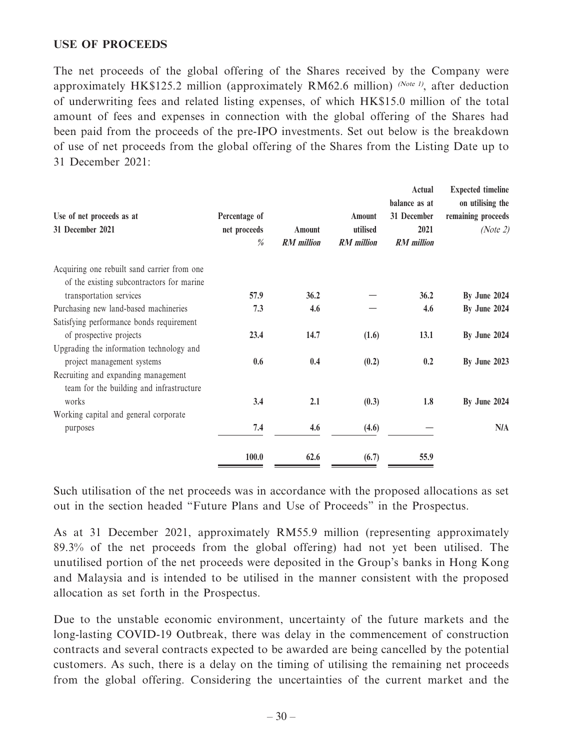### **USE OF PROCEEDS**

The net proceeds of the global offering of the Shares received by the Company were approximately HK\$125.2 million (approximately RM62.6 million) (Note 1), after deduction of underwriting fees and related listing expenses, of which HK\$15.0 million of the total amount of fees and expenses in connection with the global offering of the Shares had been paid from the proceeds of the pre-IPO investments. Set out below is the breakdown of use of net proceeds from the global offering of the Shares from the Listing Date up to 31 December 2021:

| Use of net proceeds as at<br>31 December 2021                                   | Percentage of<br>net proceeds<br>$\frac{\theta}{\theta}$ | Amount<br><b>RM</b> million | <b>Amount</b><br>utilised<br><b>RM</b> million | Actual<br>balance as at<br>31 December<br>2021<br><b>RM</b> million | <b>Expected timeline</b><br>on utilising the<br>remaining proceeds<br>(Note 2) |
|---------------------------------------------------------------------------------|----------------------------------------------------------|-----------------------------|------------------------------------------------|---------------------------------------------------------------------|--------------------------------------------------------------------------------|
| Acquiring one rebuilt sand carrier from one                                     |                                                          |                             |                                                |                                                                     |                                                                                |
| of the existing subcontractors for marine<br>transportation services            | 57.9                                                     | 36.2                        |                                                | 36.2                                                                | By June 2024                                                                   |
| Purchasing new land-based machineries                                           | 7.3                                                      | 4.6                         |                                                | 4.6                                                                 | By June 2024                                                                   |
| Satisfying performance bonds requirement                                        |                                                          |                             |                                                |                                                                     |                                                                                |
| of prospective projects                                                         | 23.4                                                     | 14.7                        | (1.6)                                          | 13.1                                                                | By June 2024                                                                   |
| Upgrading the information technology and                                        |                                                          |                             |                                                |                                                                     |                                                                                |
| project management systems                                                      | 0.6                                                      | 0.4                         | (0.2)                                          | 0.2                                                                 | By June 2023                                                                   |
| Recruiting and expanding management<br>team for the building and infrastructure |                                                          |                             |                                                |                                                                     |                                                                                |
| works                                                                           | 3.4                                                      | 2.1                         | (0.3)                                          | 1.8                                                                 | By June 2024                                                                   |
| Working capital and general corporate                                           |                                                          |                             |                                                |                                                                     |                                                                                |
| purposes                                                                        | 7.4                                                      | 4.6                         | (4.6)                                          |                                                                     | N/A                                                                            |
|                                                                                 | 100.0                                                    | 62.6                        | (6.7)                                          | 55.9                                                                |                                                                                |

Such utilisation of the net proceeds was in accordance with the proposed allocations as set out in the section headed "Future Plans and Use of Proceeds" in the Prospectus.

As at 31 December 2021, approximately RM55.9 million (representing approximately 89.3% of the net proceeds from the global offering) had not yet been utilised. The unutilised portion of the net proceeds were deposited in the Group's banks in Hong Kong and Malaysia and is intended to be utilised in the manner consistent with the proposed allocation as set forth in the Prospectus.

Due to the unstable economic environment, uncertainty of the future markets and the long-lasting COVID-19 Outbreak, there was delay in the commencement of construction contracts and several contracts expected to be awarded are being cancelled by the potential customers. As such, there is a delay on the timing of utilising the remaining net proceeds from the global offering. Considering the uncertainties of the current market and the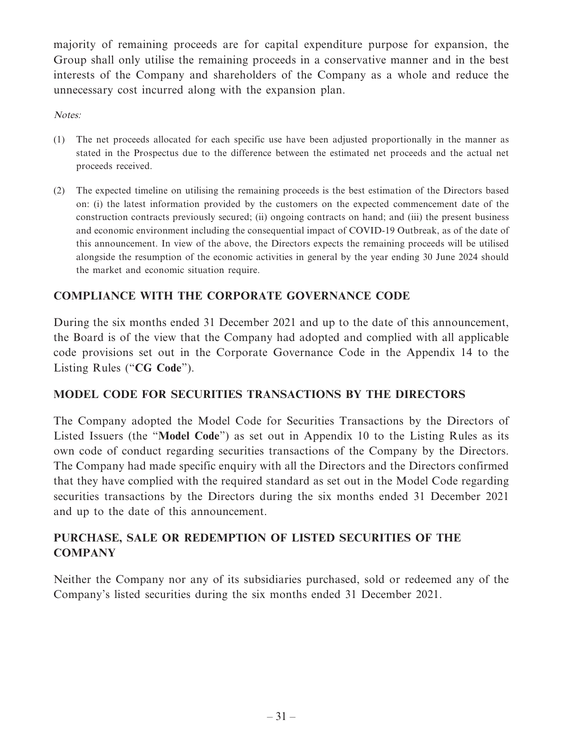majority of remaining proceeds are for capital expenditure purpose for expansion, the Group shall only utilise the remaining proceeds in a conservative manner and in the best interests of the Company and shareholders of the Company as a whole and reduce the unnecessary cost incurred along with the expansion plan.

Notes:

- (1) The net proceeds allocated for each specific use have been adjusted proportionally in the manner as stated in the Prospectus due to the difference between the estimated net proceeds and the actual net proceeds received.
- (2) The expected timeline on utilising the remaining proceeds is the best estimation of the Directors based on: (i) the latest information provided by the customers on the expected commencement date of the construction contracts previously secured; (ii) ongoing contracts on hand; and (iii) the present business and economic environment including the consequential impact of COVID-19 Outbreak, as of the date of this announcement. In view of the above, the Directors expects the remaining proceeds will be utilised alongside the resumption of the economic activities in general by the year ending 30 June 2024 should the market and economic situation require.

# **COMPLIANCE WITH THE CORPORATE GOVERNANCE CODE**

During the six months ended 31 December 2021 and up to the date of this announcement, the Board is of the view that the Company had adopted and complied with all applicable code provisions set out in the Corporate Governance Code in the Appendix 14 to the Listing Rules ("**CG Code**").

# **MODEL CODE FOR SECURITIES TRANSACTIONS BY THE DIRECTORS**

The Company adopted the Model Code for Securities Transactions by the Directors of Listed Issuers (the "**Model Code**") as set out in Appendix 10 to the Listing Rules as its own code of conduct regarding securities transactions of the Company by the Directors. The Company had made specific enquiry with all the Directors and the Directors confirmed that they have complied with the required standard as set out in the Model Code regarding securities transactions by the Directors during the six months ended 31 December 2021 and up to the date of this announcement.

# **PURCHASE, SALE OR REDEMPTION OF LISTED SECURITIES OF THE COMPANY**

Neither the Company nor any of its subsidiaries purchased, sold or redeemed any of the Company's listed securities during the six months ended 31 December 2021.